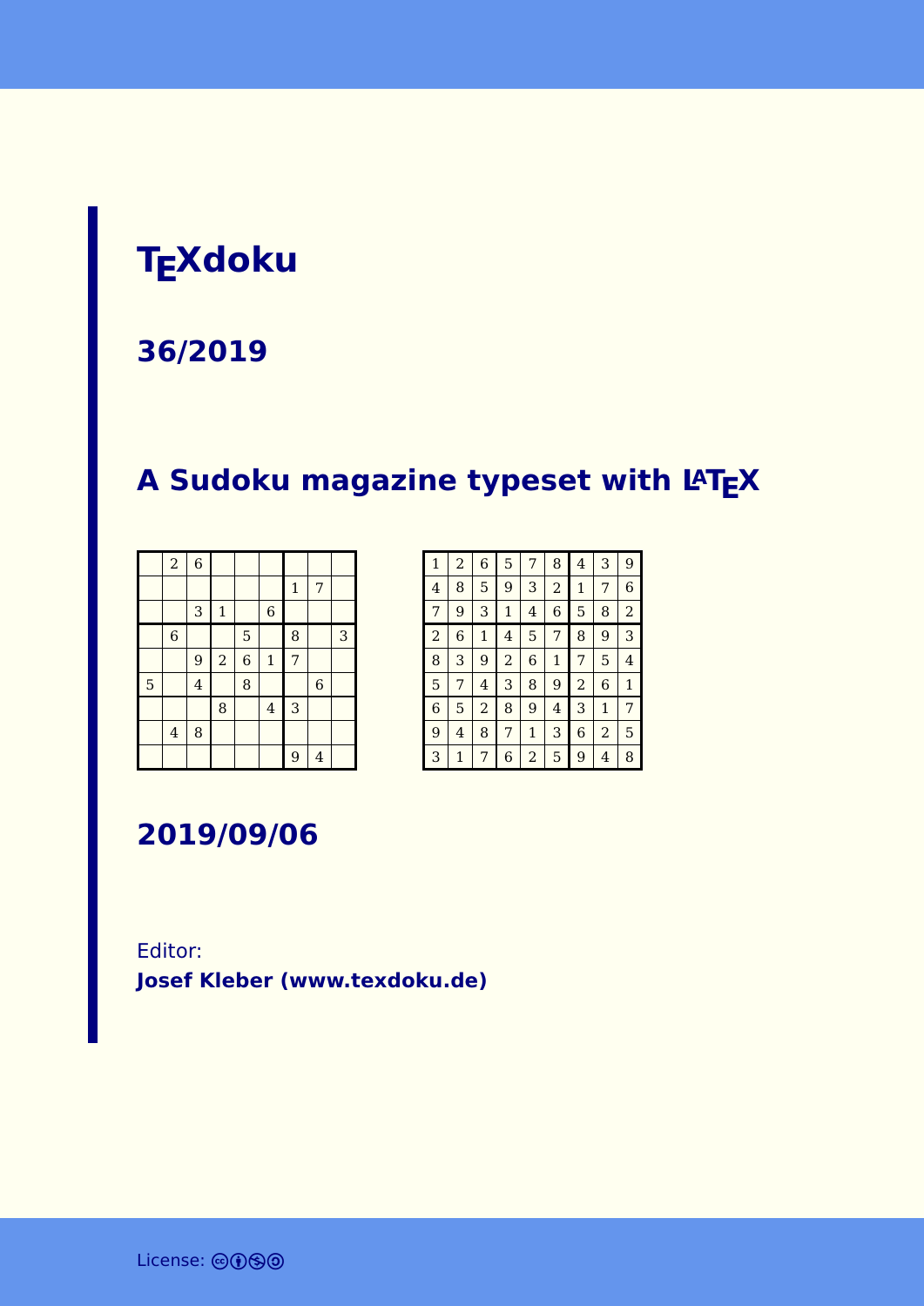# **TEXdoku**

#### **36/2019**

### **A Sudoku magazine typeset with LATEX**

|   | $\overline{a}$          | $\overline{6}$ |              |                |                |              |                |   |
|---|-------------------------|----------------|--------------|----------------|----------------|--------------|----------------|---|
|   |                         |                |              |                |                | $\mathbf{1}$ | 7              |   |
|   |                         | 3              | $\mathbf{1}$ |                | $\,$ 6 $\,$    |              |                |   |
|   | $\,$ 6 $\,$             |                |              | 5              |                | 8            |                | 3 |
|   |                         | 9              | $\sqrt{2}$   | $\overline{6}$ | $\mathbf 1$    | 7            |                |   |
| 5 |                         | $\overline{4}$ |              | 8              |                |              | $\overline{6}$ |   |
|   |                         |                | 8            |                | $\overline{4}$ | 3            |                |   |
|   | $\overline{\mathbf{4}}$ | 8              |              |                |                |              |                |   |
|   |                         |                |              |                |                | 9            | $\overline{4}$ |   |

| $\mathbf{1}$   | $\overline{a}$ | 6              | 5              | 7            | 8              | 4              | 3              | 9              |
|----------------|----------------|----------------|----------------|--------------|----------------|----------------|----------------|----------------|
| $\overline{4}$ | 8              | 5              | 9              | 3            | $\overline{a}$ | 1              | 7              | 6              |
| 7              | 9              | 3              | $\mathbf 1$    | 4            | 6              | 5              | 8              | $\overline{a}$ |
| $\overline{a}$ | 6              | $\mathbf{1}$   | 4              | 5            | 7              | 8              | 9              | 3              |
| 8              | 3              | 9              | $\overline{2}$ | 6            | $\mathbf{1}$   | 7              | 5              | 4              |
| 5              | 7              | 4              | 3              | 8            | 9              | $\overline{a}$ | 6              | $\mathbf{1}$   |
| 6              | 5              | $\overline{a}$ | 8              | 9            | 4              | 3              | $\mathbf{1}$   | 7              |
| 9              | 4              | 8              | 7              | $\mathbf{1}$ | 3              | 6              | $\overline{2}$ | 5              |
| 3              | 1              | 7              | 6              | 2            | 5              | 9              | 4              | 8              |

**2019/09/06**

Editor: **[Josef Kleber \(www.texdoku.de\)](mailto:texdoku@texdoku.de)**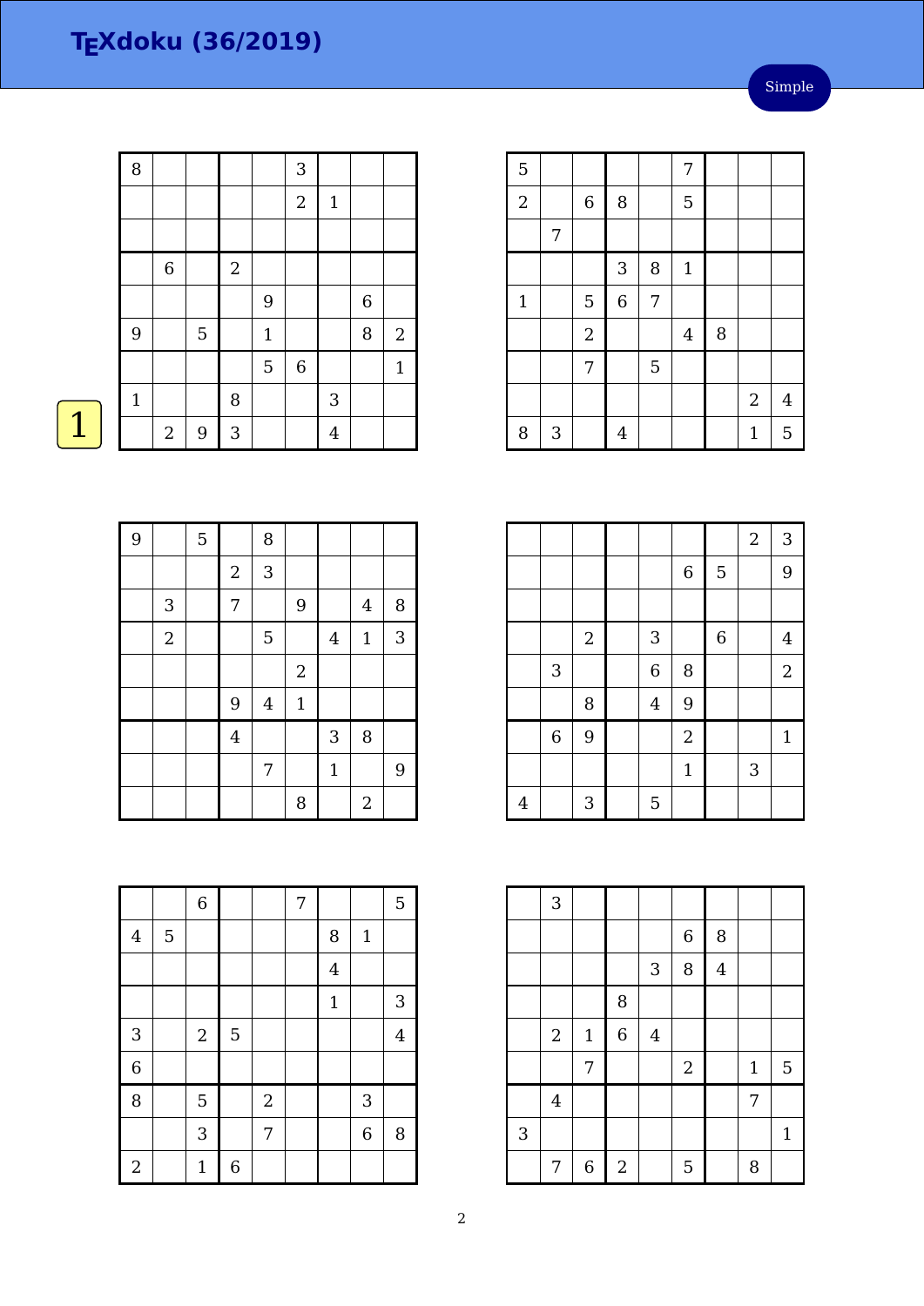| Simple |
|--------|
|--------|

| $\, 8$       |                  |                  |            |                  | 3           |                         |        |                |
|--------------|------------------|------------------|------------|------------------|-------------|-------------------------|--------|----------------|
|              |                  |                  |            |                  | $\sqrt{2}$  | $\mathbf{1}$            |        |                |
|              |                  |                  |            |                  |             |                         |        |                |
|              | $\,$ 6 $\,$      |                  | $\sqrt{2}$ |                  |             |                         |        |                |
|              |                  |                  |            | $\boldsymbol{9}$ |             |                         | 6      |                |
| 9            |                  | 5                |            | $\mathbf 1$      |             |                         | $\, 8$ | $\overline{c}$ |
|              |                  |                  |            | $\overline{5}$   | $\,$ 6 $\,$ |                         |        | $\mathbf{1}$   |
| $\mathbf{1}$ |                  |                  | $\, 8$     |                  |             | $\sqrt{3}$              |        |                |
|              | $\boldsymbol{2}$ | $\boldsymbol{9}$ | $\sqrt{3}$ |                  |             | $\overline{\mathbf{4}}$ |        |                |

| $\overline{5}$ |            |                |                |   | 7              |   |              |                |
|----------------|------------|----------------|----------------|---|----------------|---|--------------|----------------|
| $\overline{2}$ |            | $\,6\,$        | 8              |   | 5              |   |              |                |
|                | 7          |                |                |   |                |   |              |                |
|                |            |                | 3              | 8 | $1\,$          |   |              |                |
| $\mathbf{1}$   |            | 5              | $\,$ 6 $\,$    | 7 |                |   |              |                |
|                |            | $\overline{c}$ |                |   | $\overline{4}$ | 8 |              |                |
|                |            | 7              |                | 5 |                |   |              |                |
|                |            |                |                |   |                |   | $\sqrt{2}$   | $\overline{4}$ |
| 8              | $\sqrt{3}$ |                | $\overline{4}$ |   |                |   | $\mathbf{1}$ | 5              |

|                |                |            |                |                |                | $\boldsymbol{2}$ | $\mathbf{3}$     |
|----------------|----------------|------------|----------------|----------------|----------------|------------------|------------------|
|                |                |            |                | $\,$ 6 $\,$    | 5              |                  | 9                |
|                |                |            |                |                |                |                  |                  |
|                |                | $\sqrt{2}$ | 3              |                | $\overline{6}$ |                  | $\overline{4}$   |
|                | 3              |            | $\overline{6}$ | 8              |                |                  | $\boldsymbol{2}$ |
|                |                | 8          | $\overline{4}$ | 9              |                |                  |                  |
|                | $\overline{6}$ | 9          |                | $\overline{2}$ |                |                  | $\mathbf{1}$     |
|                |                |            |                | $\mathbf{1}$   |                | 3                |                  |
| $\overline{4}$ |                | 3          | 5              |                |                |                  |                  |

|   | 3              |             |                |              |             |                |       |              |
|---|----------------|-------------|----------------|--------------|-------------|----------------|-------|--------------|
|   |                |             |                |              | $\,$ 6 $\,$ | 8              |       |              |
|   |                |             |                | $\mathbf{3}$ | 8           | $\overline{4}$ |       |              |
|   |                |             | 8              |              |             |                |       |              |
|   | $\overline{2}$ | $\mathbf 1$ | $\overline{6}$ | $\bf 4$      |             |                |       |              |
|   |                | 7           |                |              | $\sqrt{2}$  |                | $1\,$ | 5            |
|   | $\bf 4$        |             |                |              |             |                | 7     |              |
| 3 |                |             |                |              |             |                |       | $\mathbf{1}$ |
|   | 7              | $\,$ 6 $\,$ | $\sqrt{2}$     |              | 5           |                | 8     |              |

| 9 |                | 5 |                | 8              |              |                |                  |              |
|---|----------------|---|----------------|----------------|--------------|----------------|------------------|--------------|
|   |                |   | $\overline{2}$ | 3              |              |                |                  |              |
|   | 3              |   | 7              |                | 9            |                | $\overline{4}$   | 8            |
|   | $\overline{2}$ |   |                | 5              |              | $\overline{4}$ | $\mathbf 1$      | $\mathbf{3}$ |
|   |                |   |                |                | $\sqrt{2}$   |                |                  |              |
|   |                |   | 9              | $\overline{4}$ | $\mathbf{1}$ |                |                  |              |
|   |                |   | $\overline{4}$ |                |              | 3              | 8                |              |
|   |                |   |                | 7              |              | $\mathbf{1}$   |                  | 9            |
|   |                |   |                |                | 8            |                | $\boldsymbol{2}$ |              |

|                |   | $\overline{6}$   |                  |                | 7 |                |                | 5              |
|----------------|---|------------------|------------------|----------------|---|----------------|----------------|----------------|
| $\overline{4}$ | 5 |                  |                  |                |   | 8              | $\mathbf 1$    |                |
|                |   |                  |                  |                |   | $\overline{4}$ |                |                |
|                |   |                  |                  |                |   | $\mathbf{1}$   |                | 3              |
| 3              |   | $\boldsymbol{2}$ | $\overline{5}$   |                |   |                |                | $\overline{4}$ |
| $\overline{6}$ |   |                  |                  |                |   |                |                |                |
| 8              |   | 5                |                  | $\overline{2}$ |   |                | $\mathbf{3}$   |                |
|                |   | 3                |                  | 7              |   |                | $\overline{6}$ | 8              |
| $\sqrt{2}$     |   | $\mathbf{1}$     | $\boldsymbol{6}$ |                |   |                |                |                |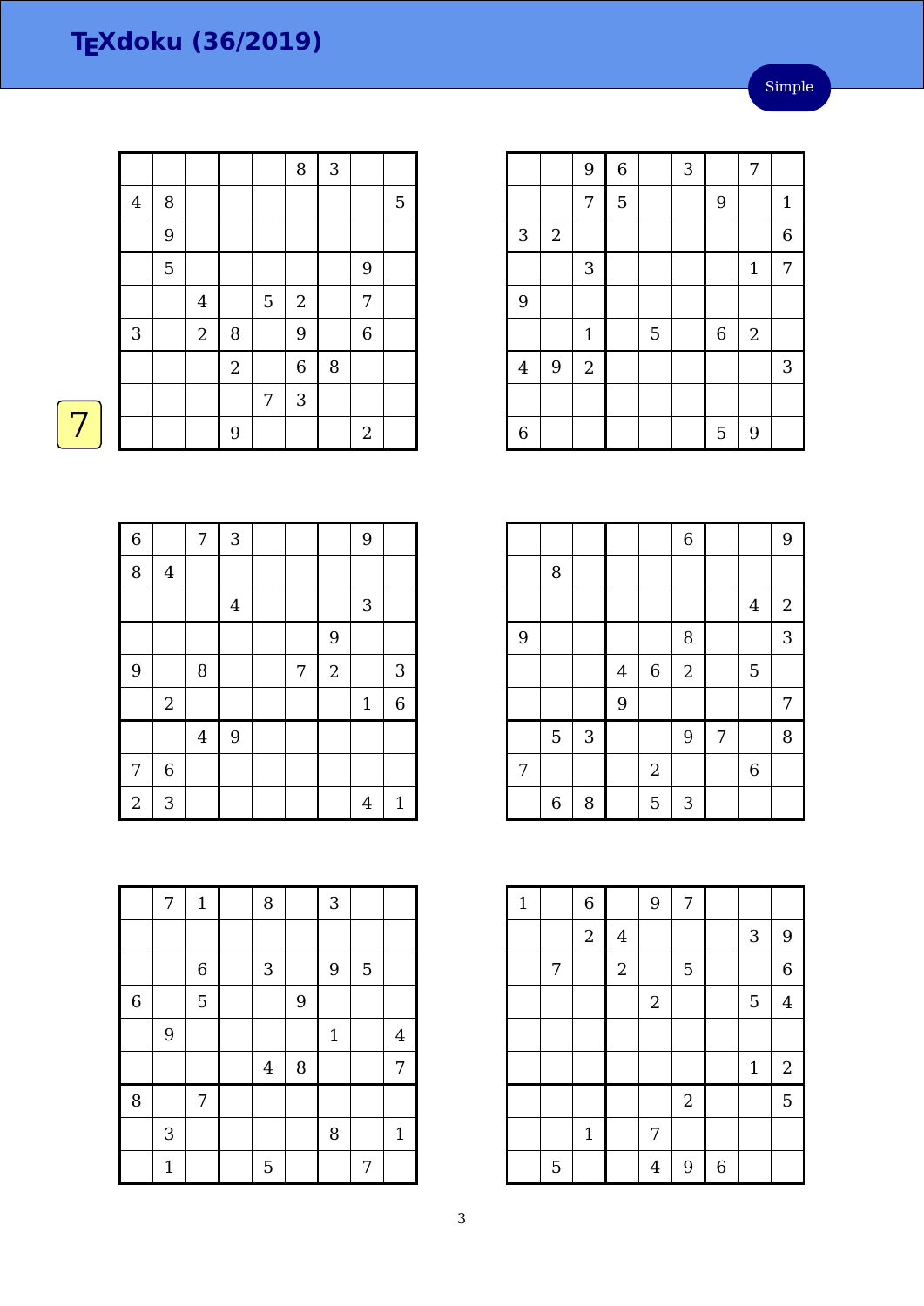#### Simple

|                |             |                  |                |   | 8              | 3      |                |   |
|----------------|-------------|------------------|----------------|---|----------------|--------|----------------|---|
| $\overline{4}$ | 8           |                  |                |   |                |        |                | 5 |
|                | $9\,$       |                  |                |   |                |        |                |   |
|                | $\mathbf 5$ |                  |                |   |                |        | 9              |   |
|                |             | $\boldsymbol{4}$ |                | 5 | $\sqrt{2}$     |        | $\overline{7}$ |   |
| 3              |             | $\sqrt{2}$       | $\, 8$         |   | 9              |        | $\,$ 6 $\,$    |   |
|                |             |                  | $\overline{a}$ |   | $\overline{6}$ | $\, 8$ |                |   |
|                |             |                  |                | 7 | 3              |        |                |   |
|                |             |                  | 9              |   |                |        | $\overline{2}$ |   |

|--|--|--|

| $\overline{6}$ |                         | 7       | 3              |   |            | 9              |                |
|----------------|-------------------------|---------|----------------|---|------------|----------------|----------------|
| 8              | $\bf 4$                 |         |                |   |            |                |                |
|                |                         |         | $\overline{4}$ |   |            | 3              |                |
|                |                         |         |                |   | 9          |                |                |
| 9              |                         | 8       |                | 7 | $\sqrt{2}$ |                | 3              |
|                | $\overline{\mathbf{c}}$ |         |                |   |            | $1\,$          | $\overline{6}$ |
|                |                         | $\bf 4$ | 9              |   |            |                |                |
| 7              | $\overline{6}$          |         |                |   |            |                |                |
| $\overline{a}$ | 3                       |         |                |   |            | $\overline{4}$ | $\mathbf{1}$   |

|                | 7            | $\mathbf{1}$   | 8              |   | 3            |   |                |
|----------------|--------------|----------------|----------------|---|--------------|---|----------------|
|                |              |                |                |   |              |   |                |
|                |              | $\overline{6}$ | 3              |   | 9            | 5 |                |
| $\overline{6}$ |              | 5              |                | 9 |              |   |                |
|                | 9            |                |                |   | $\mathbf{1}$ |   | $\overline{4}$ |
|                |              |                | $\overline{4}$ | 8 |              |   | 7              |
| 8              |              | 7              |                |   |              |   |                |
|                | $\sqrt{3}$   |                |                |   | 8            |   | $\mathbf{1}$   |
|                | $\mathbf{1}$ |                | 5              |   |              | 7 |                |

|                |            | 9              | $\sqrt{6}$ |   | 3 |             | 7              |                |
|----------------|------------|----------------|------------|---|---|-------------|----------------|----------------|
|                |            | 7              | 5          |   |   | 9           |                | $\mathbf{1}$   |
| 3              | $\sqrt{2}$ |                |            |   |   |             |                | $\overline{6}$ |
|                |            | 3              |            |   |   |             | $\mathbf{1}$   | $\overline{7}$ |
| 9              |            |                |            |   |   |             |                |                |
|                |            | $\mathbf{1}$   |            | 5 |   | $\,$ 6 $\,$ | $\overline{2}$ |                |
| $\overline{4}$ | 9          | $\overline{2}$ |            |   |   |             |                | $\mathbf{3}$   |
|                |            |                |            |   |   |             |                |                |
| 6              |            |                |            |   |   | 5           | 9              |                |

|   |   |                |                |                  | $\overline{6}$ |                |                  | 9            |
|---|---|----------------|----------------|------------------|----------------|----------------|------------------|--------------|
|   | 8 |                |                |                  |                |                |                  |              |
|   |   |                |                |                  |                |                | $\overline{4}$   | $\mathbf{2}$ |
| 9 |   |                |                |                  | 8              |                |                  | 3            |
|   |   |                | $\overline{4}$ | $\boldsymbol{6}$ | $\overline{a}$ |                | 5                |              |
|   |   |                | 9              |                  |                |                |                  | 7            |
|   | 5 | $\mathfrak{Z}$ |                |                  | 9              | $\overline{7}$ |                  | 8            |
| 7 |   |                |                | $\sqrt{2}$       |                |                | $\boldsymbol{6}$ |              |
|   | 6 | 8              |                | 5                | 3              |                |                  |              |

| $\mathbf{1}$ |   | $\,$ 6 $\,$  |                | 9              | 7                |                  |             |                |
|--------------|---|--------------|----------------|----------------|------------------|------------------|-------------|----------------|
|              |   | $\sqrt{2}$   | $\overline{4}$ |                |                  |                  | $\sqrt{3}$  | 9              |
|              | 7 |              | $\sqrt{2}$     |                | $\overline{5}$   |                  |             | $\overline{6}$ |
|              |   |              |                | $\sqrt{2}$     |                  |                  | 5           | $\overline{4}$ |
|              |   |              |                |                |                  |                  |             |                |
|              |   |              |                |                |                  |                  | $\mathbf 1$ | $\overline{c}$ |
|              |   |              |                |                | $\boldsymbol{2}$ |                  |             | 5              |
|              |   | $\mathbf{1}$ |                | 7              |                  |                  |             |                |
|              | 5 |              |                | $\overline{4}$ | 9                | $\boldsymbol{6}$ |             |                |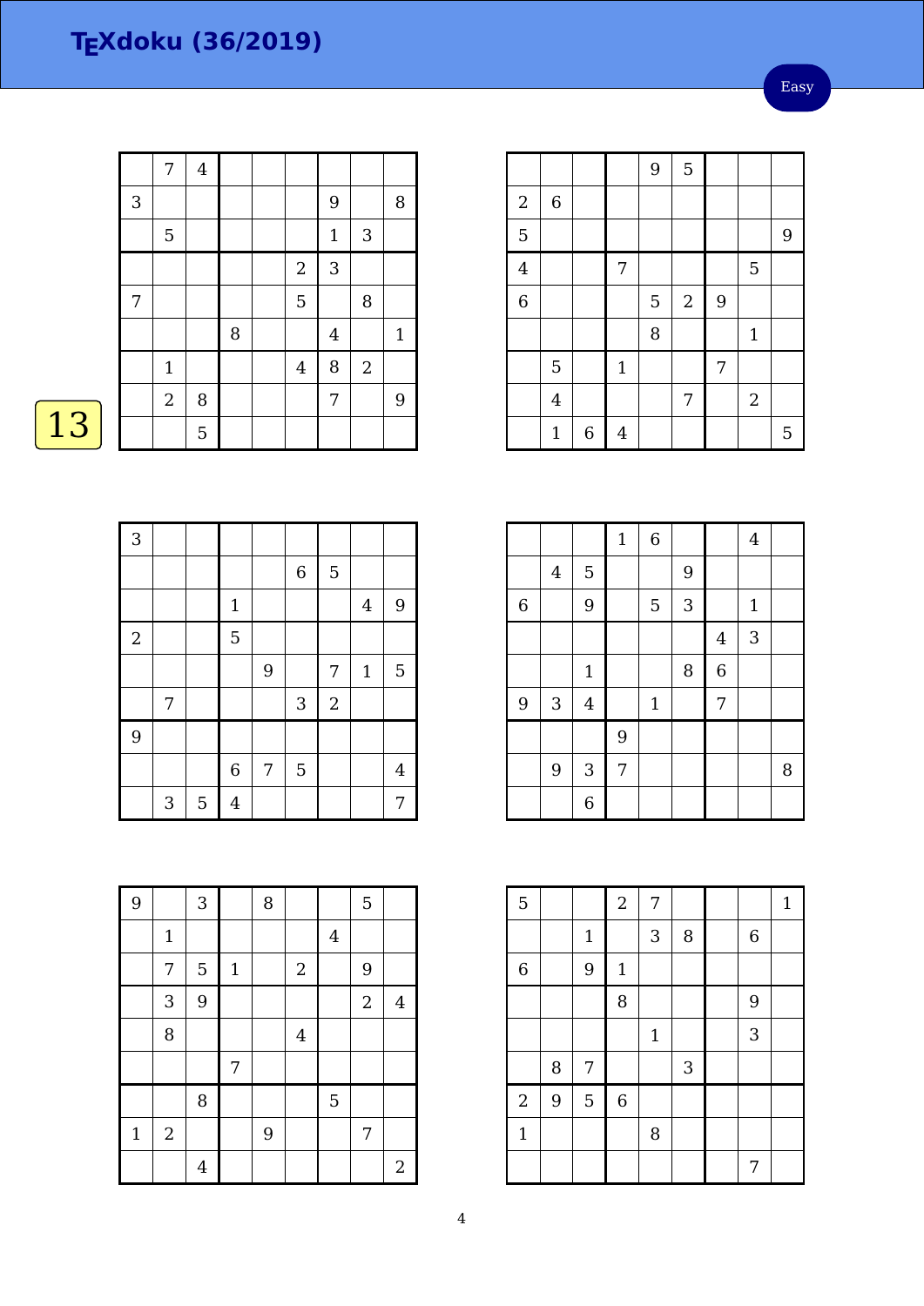|   | 7          | $\overline{\mathbf{4}}$ |   |                |                |                |              |
|---|------------|-------------------------|---|----------------|----------------|----------------|--------------|
| 3 |            |                         |   |                | 9              |                | $\, 8$       |
|   | 5          |                         |   |                | $\mathbf 1$    | $\sqrt{3}$     |              |
|   |            |                         |   | $\overline{2}$ | 3              |                |              |
| 7 |            |                         |   | 5              |                | 8              |              |
|   |            |                         | 8 |                | $\overline{4}$ |                | $\mathbf{1}$ |
|   | $1\,$      |                         |   | $\overline{4}$ | 8              | $\overline{2}$ |              |
|   | $\sqrt{2}$ | 8                       |   |                | $\overline{7}$ |                | 9            |
|   |            | 5                       |   |                |                |                |              |
|   |            |                         |   |                |                |                |              |

|                |                |                  |                | 9 | 5          |   |                |   |
|----------------|----------------|------------------|----------------|---|------------|---|----------------|---|
| $\,2$          | 6              |                  |                |   |            |   |                |   |
| 5              |                |                  |                |   |            |   |                | 9 |
| $\overline{4}$ |                |                  | $\overline{7}$ |   |            |   | 5              |   |
| $\overline{6}$ |                |                  |                | 5 | $\sqrt{2}$ | 9 |                |   |
|                |                |                  |                | 8 |            |   | $\mathbf{1}$   |   |
|                | 5              |                  | $\mathbf 1$    |   |            | 7 |                |   |
|                | $\overline{4}$ |                  |                |   | 7          |   | $\overline{2}$ |   |
|                | $\mathbf{1}$   | $\boldsymbol{6}$ | $\overline{4}$ |   |            |   |                | 5 |

| 3          |              |   |                |   |                           |            |                |                |
|------------|--------------|---|----------------|---|---------------------------|------------|----------------|----------------|
|            |              |   |                |   | $\,$ 6 $\,$               | 5          |                |                |
|            |              |   | $1\,$          |   |                           |            | $\overline{4}$ | 9              |
| $\sqrt{2}$ |              |   | $\overline{5}$ |   |                           |            |                |                |
|            |              |   |                | 9 |                           | 7          | $\mathbf{1}$   | $\overline{5}$ |
|            | 7            |   |                |   | $\ensuremath{\mathsf{3}}$ | $\sqrt{2}$ |                |                |
| 9          |              |   |                |   |                           |            |                |                |
|            |              |   | $\overline{6}$ | 7 | 5                         |            |                | $\overline{4}$ |
|            | $\mathbf{3}$ | 5 | $\overline{4}$ |   |                           |            |                | 7              |

|                |                           |                  | $\mathbf 1$ | $\overline{6}$ |   |                | $\overline{4}$ |   |
|----------------|---------------------------|------------------|-------------|----------------|---|----------------|----------------|---|
|                | $\overline{4}$            | $\overline{5}$   |             |                | 9 |                |                |   |
| $\overline{6}$ |                           | 9                |             | 5              | 3 |                | $1\,$          |   |
|                |                           |                  |             |                |   | $\overline{4}$ | 3              |   |
|                |                           | $\mathbf{1}$     |             |                | 8 | $\overline{6}$ |                |   |
| 9              | $\ensuremath{\mathsf{3}}$ | $\bf 4$          |             | $\mathbf{1}$   |   | 7              |                |   |
|                |                           |                  | 9           |                |   |                |                |   |
|                | $\boldsymbol{9}$          | $\sqrt{3}$       | 7           |                |   |                |                | 8 |
|                |                           | $\boldsymbol{6}$ |             |                |   |                |                |   |

| $\overline{5}$ |   |             | $\sqrt{2}$ | 7     |   |                  | $\mathbf{1}$ |
|----------------|---|-------------|------------|-------|---|------------------|--------------|
|                |   | $\mathbf 1$ |            | 3     | 8 | $\boldsymbol{6}$ |              |
| $\,$ 6 $\,$    |   | 9           | $1\,$      |       |   |                  |              |
|                |   |             | 8          |       |   | 9                |              |
|                |   |             |            | $1\,$ |   | 3                |              |
|                | 8 | 7           |            |       | 3 |                  |              |
| $\overline{2}$ | 9 | 5           | $\,6\,$    |       |   |                  |              |
| $1\,$          |   |             |            | 8     |   |                  |              |
|                |   |             |            |       |   | 7                |              |

| 9           |             | 3              |       | 8 |                |                         | 5              |                |
|-------------|-------------|----------------|-------|---|----------------|-------------------------|----------------|----------------|
|             | $\mathbf 1$ |                |       |   |                | $\overline{\mathbf{4}}$ |                |                |
|             | 7           | 5              | $1\,$ |   | $\overline{a}$ |                         | 9              |                |
|             | 3           | 9              |       |   |                |                         | $\overline{2}$ | $\overline{4}$ |
|             | 8           |                |       |   | $\overline{4}$ |                         |                |                |
|             |             |                | 7     |   |                |                         |                |                |
|             |             | 8              |       |   |                | 5                       |                |                |
| $\mathbf 1$ | $\sqrt{2}$  |                |       | 9 |                |                         | 7              |                |
|             |             | $\overline{4}$ |       |   |                |                         |                | $\sqrt{2}$     |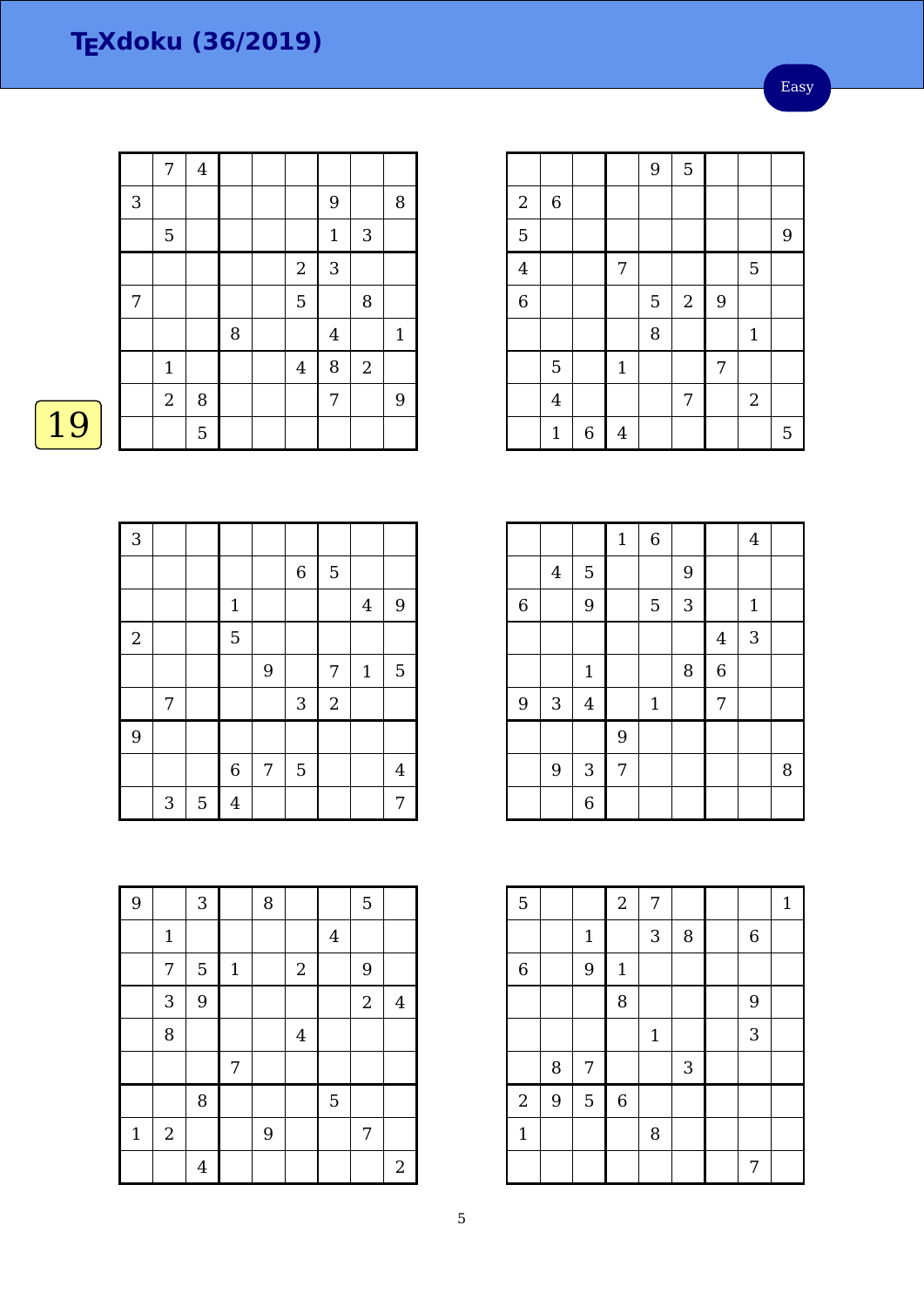Easy

| $\overline{4}$<br>7<br>$\mathbf{3}$<br>9<br>8<br>$\mathbf{3}$<br>5<br>$1\,$<br>$\sqrt{2}$<br>3<br>5<br>8<br>7<br>8<br>$\bf 4$<br>$1\,$<br>8<br>$\boldsymbol{2}$<br>$\bf 4$<br>$1\,$<br>7 |                |   |  |  |   |
|------------------------------------------------------------------------------------------------------------------------------------------------------------------------------------------|----------------|---|--|--|---|
|                                                                                                                                                                                          |                |   |  |  |   |
|                                                                                                                                                                                          |                |   |  |  |   |
|                                                                                                                                                                                          |                |   |  |  |   |
|                                                                                                                                                                                          |                |   |  |  |   |
|                                                                                                                                                                                          |                |   |  |  |   |
|                                                                                                                                                                                          |                |   |  |  |   |
|                                                                                                                                                                                          |                |   |  |  |   |
|                                                                                                                                                                                          | $\overline{c}$ | 8 |  |  | 9 |
| 5                                                                                                                                                                                        |                |   |  |  |   |

|                |                |             |       | 9 | 5                |                |                  |                |
|----------------|----------------|-------------|-------|---|------------------|----------------|------------------|----------------|
| $\overline{c}$ | $\,$ 6 $\,$    |             |       |   |                  |                |                  |                |
| 5              |                |             |       |   |                  |                |                  | $\overline{9}$ |
| $\overline{4}$ |                |             | 7     |   |                  |                | 5                |                |
| $\overline{6}$ |                |             |       | 5 | $\boldsymbol{2}$ | $\overline{9}$ |                  |                |
|                |                |             |       | 8 |                  |                | $\mathbf{1}$     |                |
|                | 5              |             | $1\,$ |   |                  | 7              |                  |                |
|                | $\overline{4}$ |             |       |   | 7                |                | $\boldsymbol{2}$ |                |
|                | $\mathbf{1}$   | $\,$ 6 $\,$ | 4     |   |                  |                |                  | 5              |

L

  $6 \mid 5$   $4$  9  $2 \mid \cdot \cdot \cdot \cdot \cdot$  $9 | 7 | 1 | 5$ 7 | | | | 3 | 2  $6 | 7 | 5 | | 4$ 3 | 5 | 4 | | | | | | | 7

|                |                |              | $\mathbf 1$ | $\overline{6}$ |   |                | $\overline{4}$ |   |
|----------------|----------------|--------------|-------------|----------------|---|----------------|----------------|---|
|                | $\overline{4}$ | $\mathbf 5$  |             |                | 9 |                |                |   |
| $\overline{6}$ |                | 9            |             | 5              | 3 |                | $\mathbf{1}$   |   |
|                |                |              |             |                |   | $\bf 4$        | 3              |   |
|                |                | $\mathbf 1$  |             |                | 8 | $\overline{6}$ |                |   |
| 9              | $\sqrt{3}$     | $\bf 4$      |             | $\mathbf{1}$   |   | 7              |                |   |
|                |                |              | 9           |                |   |                |                |   |
|                | 9              | $\mathbf{3}$ | 7           |                |   |                |                | 8 |
|                |                | 6            |             |                |   |                |                |   |

| 5              |   |                | $\overline{a}$ | 7            |                           |   | $\mathbf{1}$ |
|----------------|---|----------------|----------------|--------------|---------------------------|---|--------------|
|                |   | $\mathbf 1$    |                | 3            | 8                         | 6 |              |
| $\overline{6}$ |   | 9              | $\mathbf 1$    |              |                           |   |              |
|                |   |                | 8              |              |                           | 9 |              |
|                |   |                |                | $\mathbf{1}$ |                           | 3 |              |
|                | 8 | 7              |                |              | $\ensuremath{\mathsf{3}}$ |   |              |
| $\sqrt{2}$     | 9 | $\overline{5}$ | $\,$ 6 $\,$    |              |                           |   |              |
| $\mathbf{1}$   |   |                |                | 8            |                           |   |              |
|                |   |                |                |              |                           | 7 |              |

| 9           |              | $\sqrt{3}$     |       | 8 |                |                | 5              |                  |
|-------------|--------------|----------------|-------|---|----------------|----------------|----------------|------------------|
|             | $\mathbf{1}$ |                |       |   |                | $\overline{4}$ |                |                  |
|             | 7            | 5              | $1\,$ |   | $\sqrt{2}$     |                | 9              |                  |
|             | 3            | 9              |       |   |                |                | $\overline{2}$ | $\overline{4}$   |
|             | 8            |                |       |   | $\overline{4}$ |                |                |                  |
|             |              |                | 7     |   |                |                |                |                  |
|             |              | 8              |       |   |                | 5              |                |                  |
| $\mathbf 1$ | $\sqrt{2}$   |                |       | 9 |                |                | 7              |                  |
|             |              | $\overline{4}$ |       |   |                |                |                | $\boldsymbol{2}$ |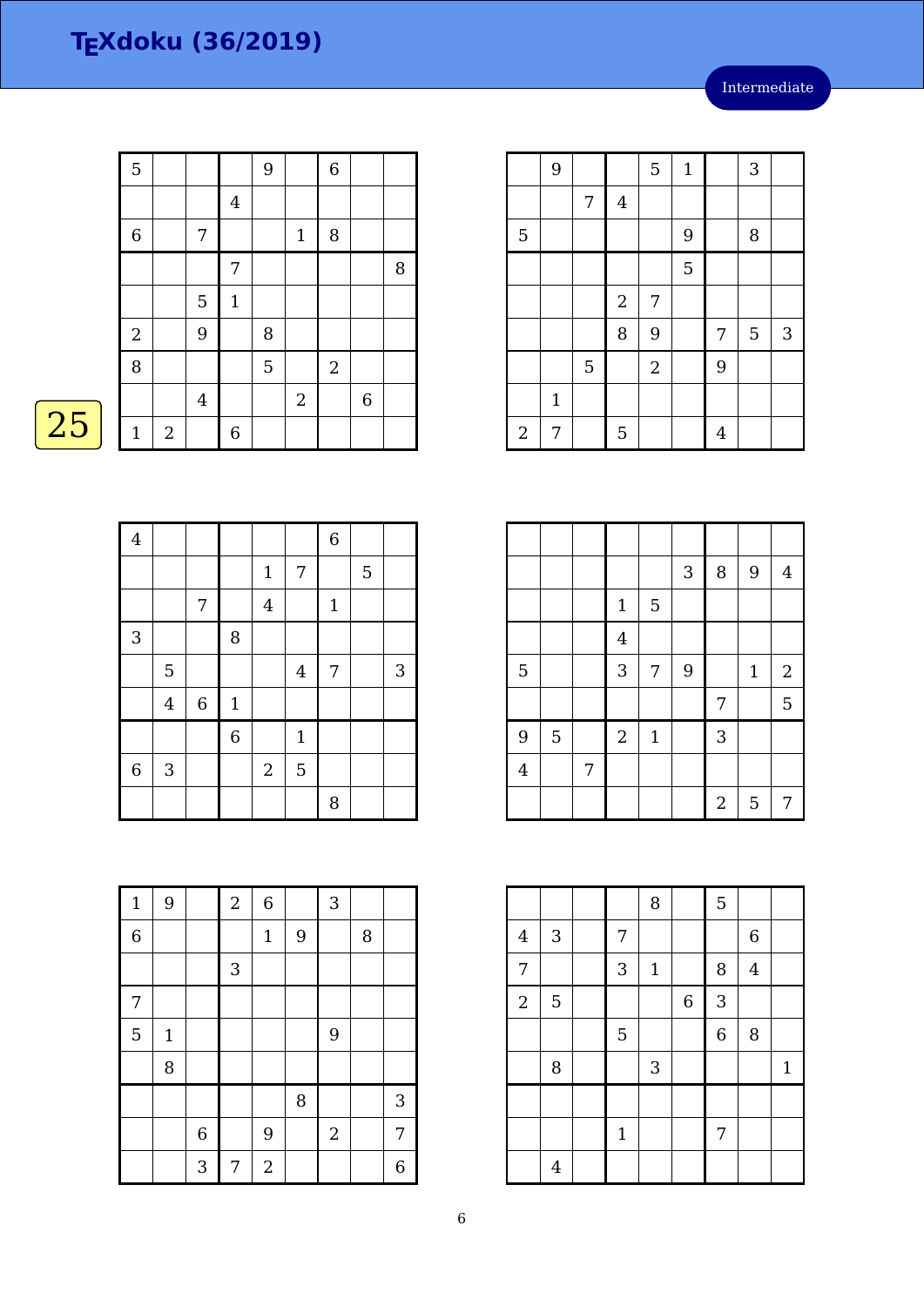|    | 5            |   |         |                | 9 |              | $\boldsymbol{6}$ |   |   |
|----|--------------|---|---------|----------------|---|--------------|------------------|---|---|
|    |              |   |         | $\overline{4}$ |   |              |                  |   |   |
|    | $\,$ 6 $\,$  |   | 7       |                |   | $\mathbf{1}$ | 8                |   |   |
|    |              |   |         | 7              |   |              |                  |   | 8 |
|    |              |   | 5       | $\mathbf{1}$   |   |              |                  |   |   |
|    | $\sqrt{2}$   |   | 9       |                | 8 |              |                  |   |   |
|    | 8            |   |         |                | 5 |              | $\sqrt{2}$       |   |   |
|    |              |   | $\bf 4$ |                |   | $\mathbf{2}$ |                  | 6 |   |
| 25 | $\mathbf{1}$ | 2 |         | 6              |   |              |                  |   |   |

| ٠ |
|---|

| $\overline{4}$ |                |             |                |                  |                | $\overline{6}$ |   |                           |
|----------------|----------------|-------------|----------------|------------------|----------------|----------------|---|---------------------------|
|                |                |             |                | $1\,$            | 7              |                | 5 |                           |
|                |                | 7           |                | $\bf 4$          |                | $1\,$          |   |                           |
| $\sqrt{3}$     |                |             | 8              |                  |                |                |   |                           |
|                | 5              |             |                |                  | $\overline{4}$ | 7              |   | $\ensuremath{\mathsf{3}}$ |
|                | $\overline{4}$ | $\,$ 6 $\,$ | $\mathbf{1}$   |                  |                |                |   |                           |
|                |                |             | $\overline{6}$ |                  | $\mathbf{1}$   |                |   |                           |
| $\overline{6}$ | $\sqrt{3}$     |             |                | $\boldsymbol{2}$ | 5              |                |   |                           |
|                |                |             |                |                  |                | 8              |   |                           |

| $\mathbf{1}$   | 9     |         | $\boldsymbol{2}$ | $\,$ 6 $\,$      |   | 3                |   |   |
|----------------|-------|---------|------------------|------------------|---|------------------|---|---|
| $\overline{6}$ |       |         |                  | $1\,$            | 9 |                  | 8 |   |
|                |       |         | 3                |                  |   |                  |   |   |
| 7              |       |         |                  |                  |   |                  |   |   |
| 5              | $1\,$ |         |                  |                  |   | 9                |   |   |
|                | 8     |         |                  |                  |   |                  |   |   |
|                |       |         |                  |                  | 8 |                  |   | 3 |
|                |       | $\,6\,$ |                  | $\overline{9}$   |   | $\boldsymbol{2}$ |   | 7 |
|                |       | 3       | 7                | $\boldsymbol{2}$ |   |                  |   | 6 |

|            | 9            |   |                  | 5              | $\mathbf{1}$ |                | 3 |            |
|------------|--------------|---|------------------|----------------|--------------|----------------|---|------------|
|            |              | 7 | $\overline{4}$   |                |              |                |   |            |
| 5          |              |   |                  |                | 9            |                | 8 |            |
|            |              |   |                  |                | 5            |                |   |            |
|            |              |   | $\boldsymbol{2}$ | 7              |              |                |   |            |
|            |              |   | 8                | 9              |              | 7              | 5 | $\sqrt{3}$ |
|            |              | 5 |                  | $\overline{2}$ |              | 9              |   |            |
|            | $\mathbf{1}$ |   |                  |                |              |                |   |            |
| $\sqrt{2}$ | 7            |   | 5                |                |              | $\overline{4}$ |   |            |

|                |   |   |                |              | 3 | $\, 8$         | 9            | $\overline{4}$ |
|----------------|---|---|----------------|--------------|---|----------------|--------------|----------------|
|                |   |   | $\mathbf 1$    | 5            |   |                |              |                |
|                |   |   | $\overline{4}$ |              |   |                |              |                |
| 5              |   |   | 3              | 7            | 9 |                | $\mathbf{1}$ | $2\,$          |
|                |   |   |                |              |   | 7              |              | 5              |
| 9              | 5 |   | $\overline{2}$ | $\mathbf{1}$ |   | 3              |              |                |
| $\overline{4}$ |   | 7 |                |              |   |                |              |                |
|                |   |   |                |              |   | $\overline{2}$ | 5            | 7              |

|                |                |              | 8     |                | 5              |                         |              |
|----------------|----------------|--------------|-------|----------------|----------------|-------------------------|--------------|
| $\bf 4$        | $\sqrt{3}$     | 7            |       |                |                | 6                       |              |
| 7              |                | 3            | $1\,$ |                | 8              | $\overline{\mathbf{4}}$ |              |
| $\overline{2}$ | $\overline{5}$ |              |       | $\overline{6}$ | 3              |                         |              |
|                |                | 5            |       |                | $\overline{6}$ | 8                       |              |
|                | 8              |              | 3     |                |                |                         | $\mathbf{1}$ |
|                |                |              |       |                |                |                         |              |
|                |                | $\mathbf{1}$ |       |                | 7              |                         |              |
|                | $\overline{4}$ |              |       |                |                |                         |              |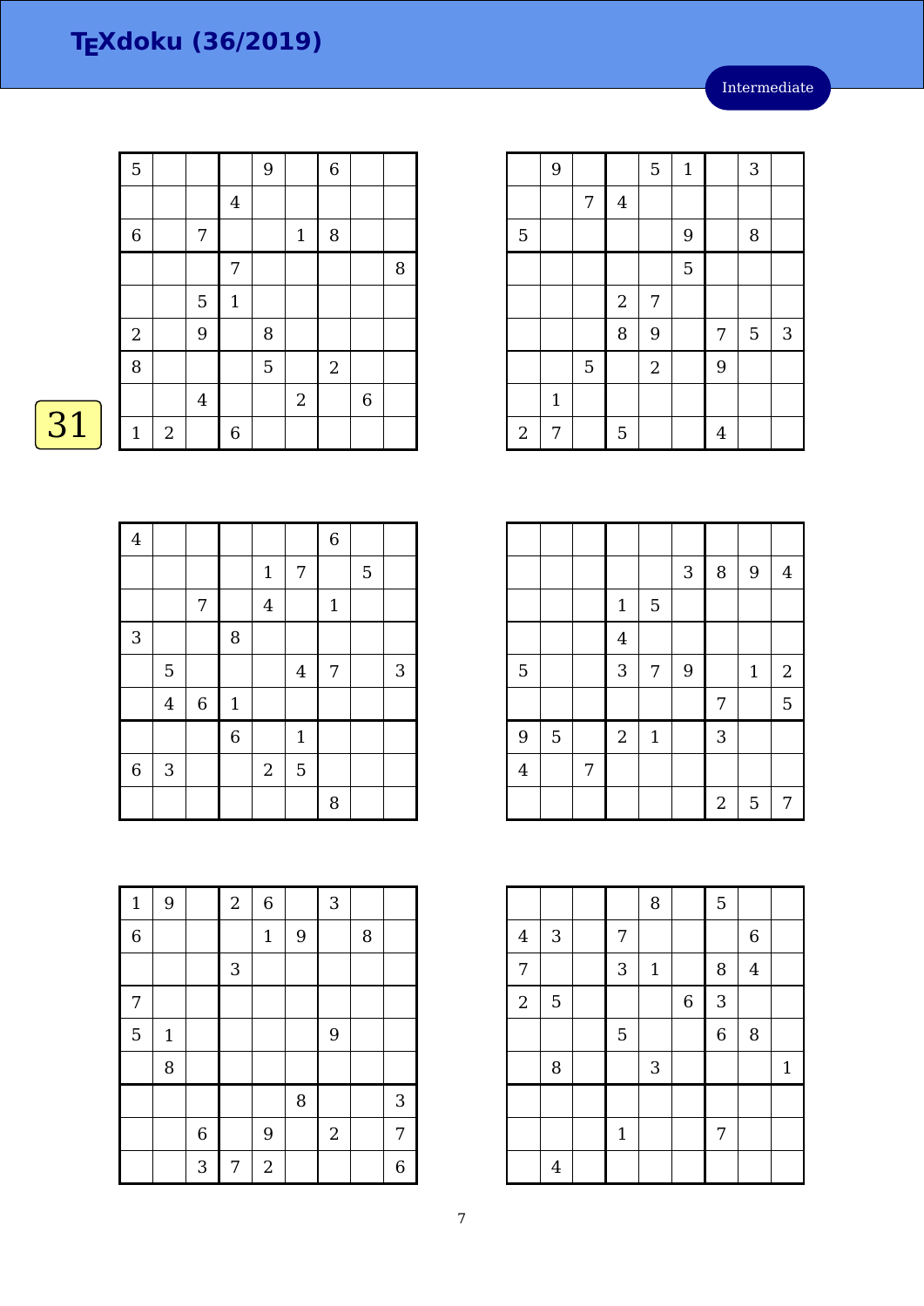| $\overline{5}$ |                |                |                | $\overline{9}$ |              | $\,$ 6 $\,$    |   |   |
|----------------|----------------|----------------|----------------|----------------|--------------|----------------|---|---|
|                |                |                | $\overline{4}$ |                |              |                |   |   |
| $\,6$          |                | 7              |                |                | $\mathbf{1}$ | $\, 8$         |   |   |
|                |                |                | 7              |                |              |                |   | 8 |
|                |                | 5              | $\mathbf{1}$   |                |              |                |   |   |
| $\overline{c}$ |                | 9              |                | 8              |              |                |   |   |
| 8              |                |                |                | 5              |              | $\overline{2}$ |   |   |
|                |                | $\overline{4}$ |                |                | $\sqrt{2}$   |                | 6 |   |
| $\mathbf{1}$   | $\overline{2}$ |                | $\overline{6}$ |                |              |                |   |   |

 $\boxed{31}$ 

| $\overline{4}$ |                |       |                |                |                | $\overline{6}$ |   |   |
|----------------|----------------|-------|----------------|----------------|----------------|----------------|---|---|
|                |                |       |                | $\mathbf{1}$   | $\overline{7}$ |                | 5 |   |
|                |                | 7     |                | $\overline{4}$ |                | $\mathbf{1}$   |   |   |
| 3              |                |       | $\, 8$         |                |                |                |   |   |
|                | 5              |       |                |                | $\overline{4}$ | 7              |   | 3 |
|                | $\overline{4}$ | $\,6$ | $\mathbf{1}$   |                |                |                |   |   |
|                |                |       | $\overline{6}$ |                | $\mathbf{1}$   |                |   |   |
| $\overline{6}$ | $\sqrt{3}$     |       |                | $\sqrt{2}$     | 5              |                |   |   |
|                |                |       |                |                |                | 8              |   |   |

| $\mathbf{1}$   | 9     |         | $\sqrt{2}$ | $\,$ 6 $\,$      |   | 3          |   |   |
|----------------|-------|---------|------------|------------------|---|------------|---|---|
| $\overline{6}$ |       |         |            | $\mathbf 1$      | 9 |            | 8 |   |
|                |       |         | 3          |                  |   |            |   |   |
| 7              |       |         |            |                  |   |            |   |   |
| 5              | $1\,$ |         |            |                  |   | 9          |   |   |
|                | 8     |         |            |                  |   |            |   |   |
|                |       |         |            |                  | 8 |            |   | 3 |
|                |       | $\,6\,$ |            | $9$              |   | $\sqrt{2}$ |   | 7 |
|                |       | 3       | 7          | $\boldsymbol{2}$ |   |            |   | 6 |

|                | 9            |   |                | $\mathbf 5$ | $1\,$ |   | 3 |   |
|----------------|--------------|---|----------------|-------------|-------|---|---|---|
|                |              | 7 | $\overline{4}$ |             |       |   |   |   |
| 5              |              |   |                |             | 9     |   | 8 |   |
|                |              |   |                |             | 5     |   |   |   |
|                |              |   | $\sqrt{2}$     | 7           |       |   |   |   |
|                |              |   | 8              | 9           |       | 7 | 5 | 3 |
|                |              | 5 |                | $\sqrt{2}$  |       | 9 |   |   |
|                | $\mathbf{1}$ |   |                |             |       |   |   |   |
| $\overline{c}$ | 7            |   | 5              |             |       | 4 |   |   |

|                |   |   |                  |              | 3 | 8              | $\overline{9}$ | $\overline{4}$   |
|----------------|---|---|------------------|--------------|---|----------------|----------------|------------------|
|                |   |   | $\mathbf{1}$     | 5            |   |                |                |                  |
|                |   |   | $\overline{4}$   |              |   |                |                |                  |
| 5              |   |   | 3                | 7            | 9 |                | $\mathbf{1}$   | $\boldsymbol{2}$ |
|                |   |   |                  |              |   | 7              |                | 5                |
| 9              | 5 |   | $\boldsymbol{2}$ | $\mathbf{1}$ |   | 3              |                |                  |
| $\overline{4}$ |   | 7 |                  |              |   |                |                |                  |
|                |   |   |                  |              |   | $\overline{2}$ | 5              | 7                |

|                |                |              | 8           |                | 5              |         |              |
|----------------|----------------|--------------|-------------|----------------|----------------|---------|--------------|
| $\overline{4}$ | $\mathbf{3}$   | 7            |             |                |                | 6       |              |
| 7              |                | 3            | $\mathbf 1$ |                | 8              | $\bf 4$ |              |
| $\overline{2}$ | $\overline{5}$ |              |             | $\overline{6}$ | 3              |         |              |
|                |                | 5            |             |                | $\overline{6}$ | 8       |              |
|                | 8              |              | 3           |                |                |         | $\mathbf{1}$ |
|                |                |              |             |                |                |         |              |
|                |                | $\mathbf{1}$ |             |                | 7              |         |              |
|                | $\overline{4}$ |              |             |                |                |         |              |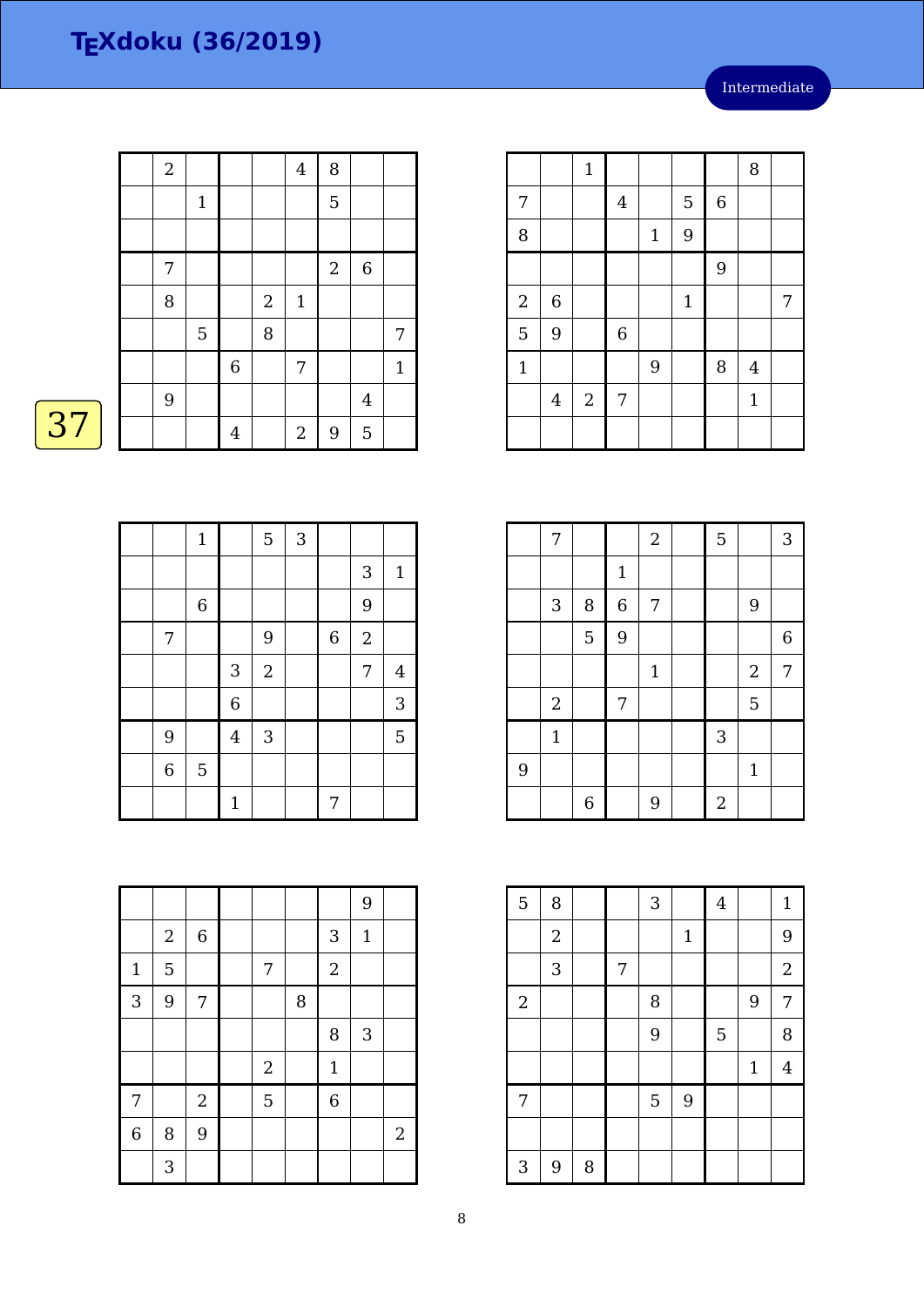|    | $\mathbf{2}$ |                |             |              | $\overline{4}$   | 8              |                |              |
|----|--------------|----------------|-------------|--------------|------------------|----------------|----------------|--------------|
|    |              | $\mathbf{1}$   |             |              |                  | 5              |                |              |
|    |              |                |             |              |                  |                |                |              |
|    | 7            |                |             |              |                  | $\overline{2}$ | $\,$ 6 $\,$    |              |
|    | $\, 8$       |                |             | $\mathbf{2}$ | $\mathbf{1}$     |                |                |              |
|    |              | $\overline{5}$ |             | 8            |                  |                |                | 7            |
|    |              |                | $\,$ 6 $\,$ |              | 7                |                |                | $\mathbf{1}$ |
|    | 9            |                |             |              |                  |                | $\overline{4}$ |              |
| 37 |              |                | 4           |              | $\boldsymbol{2}$ | 9              | 5              |              |

|                | $\mathbf{1}$   |                | $\overline{5}$ | 3 |             |                |                |
|----------------|----------------|----------------|----------------|---|-------------|----------------|----------------|
|                |                |                |                |   |             | $\sqrt{3}$     | $\mathbf{1}$   |
|                | $\,6\,$        |                |                |   |             | 9              |                |
| 7              |                |                | $\overline{9}$ |   | $\,$ 6 $\,$ | $\overline{2}$ |                |
|                |                | $\mathbf{3}$   | $\sqrt{2}$     |   |             | $\overline{7}$ | $\overline{4}$ |
|                |                | $\overline{6}$ |                |   |             |                | 3              |
| 9              |                | $\bf 4$        | 3              |   |             |                | 5              |
| $\overline{6}$ | $\overline{5}$ |                |                |   |             |                |                |
|                |                | $1\,$          |                |   | 7           |                |                |

|                |                  |                  |            |   |                | 9            |                  |
|----------------|------------------|------------------|------------|---|----------------|--------------|------------------|
|                | $\boldsymbol{2}$ | $\,$ 6 $\,$      |            |   | 3              | $\mathbf{1}$ |                  |
| $\mathbf{1}$   | 5                |                  | 7          |   | $\overline{2}$ |              |                  |
| 3              | 9                | 7                |            | 8 |                |              |                  |
|                |                  |                  |            |   | 8              | 3            |                  |
|                |                  |                  | $\sqrt{2}$ |   | $\mathbf 1$    |              |                  |
| 7              |                  | $\boldsymbol{2}$ | 5          |   | $\overline{6}$ |              |                  |
| $\overline{6}$ | 8                | 9                |            |   |                |              | $\boldsymbol{2}$ |
|                | 3                |                  |            |   |                |              |                  |

|                |                | $\mathbf{1}$   |             |                |             |             | 8              |   |
|----------------|----------------|----------------|-------------|----------------|-------------|-------------|----------------|---|
| 7              |                |                | $\bf 4$     |                | 5           | $\,$ 6 $\,$ |                |   |
| 8              |                |                |             | $\mathbf 1$    | 9           |             |                |   |
|                |                |                |             |                |             | 9           |                |   |
| $\sqrt{2}$     | $\,$ 6 $\,$    |                |             |                | $\mathbf 1$ |             |                | 7 |
| $\overline{5}$ | 9              |                | $\,$ 6 $\,$ |                |             |             |                |   |
| $\mathbf{1}$   |                |                |             | $\overline{9}$ |             | 8           | $\overline{4}$ |   |
|                | $\overline{4}$ | $\overline{2}$ | 7           |                |             |             | $\mathbf{1}$   |   |
|                |                |                |             |                |             |             |                |   |

|   | 7            |                  |                | $\sqrt{2}$   | 5              |                | 3                |
|---|--------------|------------------|----------------|--------------|----------------|----------------|------------------|
|   |              |                  | $\mathbf 1$    |              |                |                |                  |
|   | $\mathbf{3}$ | 8                | $\overline{6}$ | 7            |                | 9              |                  |
|   |              | 5                | 9              |              |                |                | $\boldsymbol{6}$ |
|   |              |                  |                | $\mathbf{1}$ |                | $\overline{2}$ | 7                |
|   | $\sqrt{2}$   |                  | 7              |              |                | 5              |                  |
|   | $1\,$        |                  |                |              | $\mathbf{3}$   |                |                  |
| 9 |              |                  |                |              |                | $\mathbf{1}$   |                  |
|   |              | $\boldsymbol{6}$ |                | 9            | $\overline{a}$ |                |                  |

| $\overline{5}$ | 8                |   |   | 3 |              | $\overline{4}$ |       | $\mathbf{1}$     |
|----------------|------------------|---|---|---|--------------|----------------|-------|------------------|
|                | $\boldsymbol{2}$ |   |   |   | $\mathbf{1}$ |                |       | 9                |
|                | 3                |   | 7 |   |              |                |       | $\boldsymbol{2}$ |
| $\overline{2}$ |                  |   |   | 8 |              |                | 9     | $\overline{7}$   |
|                |                  |   |   | 9 |              | 5              |       | 8                |
|                |                  |   |   |   |              |                | $1\,$ | $\overline{4}$   |
| 7              |                  |   |   | 5 | 9            |                |       |                  |
|                |                  |   |   |   |              |                |       |                  |
| 3              | 9                | 8 |   |   |              |                |       |                  |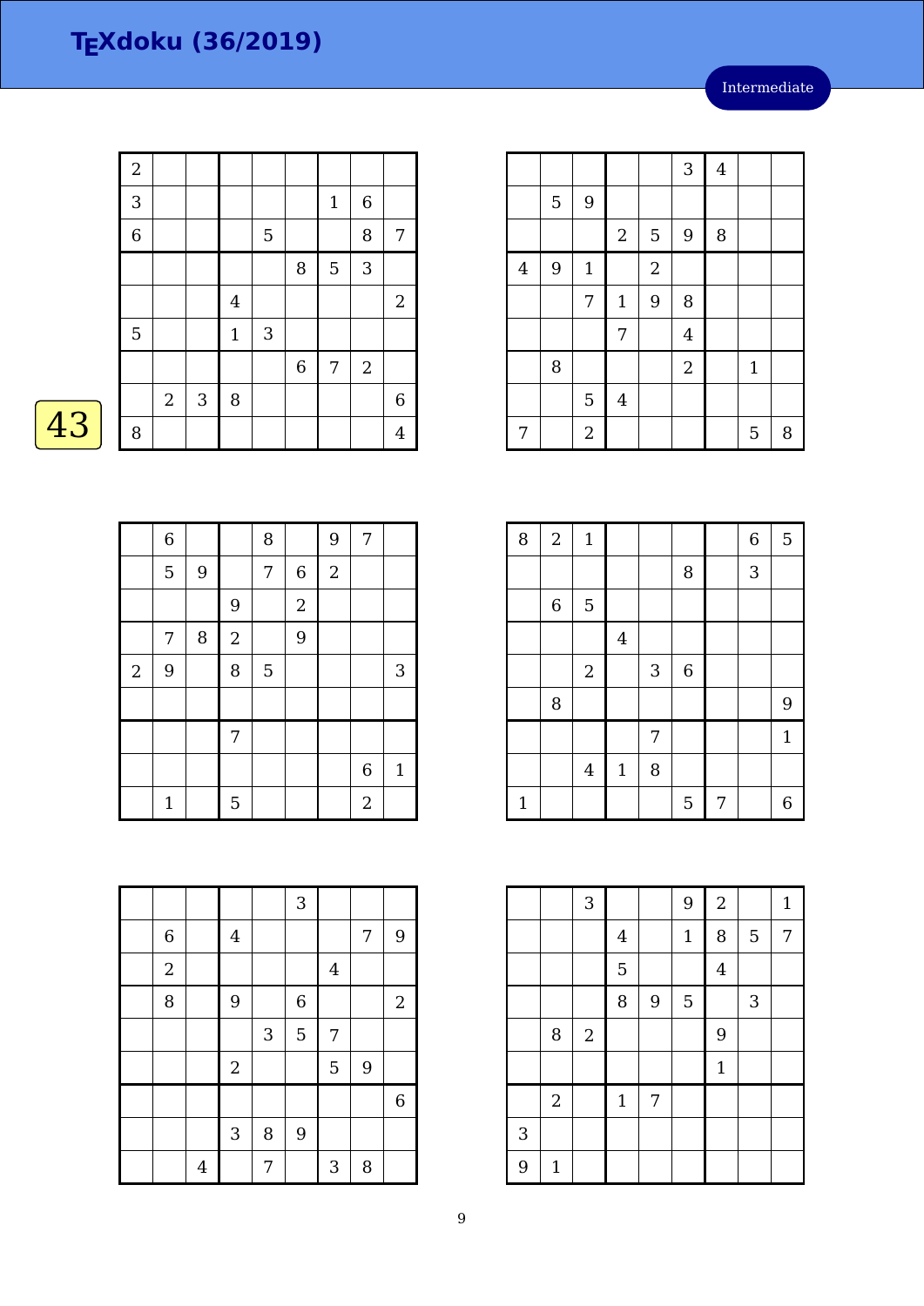Intermediate

 $3 \mid 4$ 

5 9 8

 $7 1 9 8$ 

7 4

8 | | | | | | 2 | | 1

7 | 2 | | | | | | 5 | 8

 $5 \mid 9$ 

 $4 \mid 9 \mid 1 \mid 2$ 

 $5 \mid 4$ 

|    | $\boldsymbol{2}$ |                |            |                |            |                  |              |            |                |
|----|------------------|----------------|------------|----------------|------------|------------------|--------------|------------|----------------|
|    | 3                |                |            |                |            |                  | $\mathbf{1}$ | $\,6\,$    |                |
|    | $\overline{6}$   |                |            |                | 5          |                  |              | 8          | 7              |
|    |                  |                |            |                |            | 8                | 5            | 3          |                |
|    |                  |                |            | $\overline{4}$ |            |                  |              |            | $\mathbf{2}$   |
|    | 5                |                |            | $\mathbf{1}$   | $\sqrt{3}$ |                  |              |            |                |
|    |                  |                |            |                |            | $\boldsymbol{6}$ | 7            | $\sqrt{2}$ |                |
|    |                  | $\overline{2}$ | $\sqrt{3}$ | $\, 8$         |            |                  |              |            | $\,$ 6 $\,$    |
| 43 | 8                |                |            |                |            |                  |              |            | $\overline{4}$ |

| ī |  |
|---|--|
|   |  |

|            | $\boldsymbol{6}$ |   |                  | 8              |                  | 9              | 7              |              |
|------------|------------------|---|------------------|----------------|------------------|----------------|----------------|--------------|
|            | 5                | 9 |                  | 7              | $\boldsymbol{6}$ | $\overline{2}$ |                |              |
|            |                  |   | 9                |                | $\overline{c}$   |                |                |              |
|            | 7                | 8 | $\boldsymbol{2}$ |                | 9                |                |                |              |
| $\sqrt{2}$ | 9                |   | 8                | $\overline{5}$ |                  |                |                | $\sqrt{3}$   |
|            |                  |   |                  |                |                  |                |                |              |
|            |                  |   | 7                |                |                  |                |                |              |
|            |                  |   |                  |                |                  |                | 6              | $\mathbf{1}$ |
|            | $\mathbf 1$      |   | 5                |                |                  |                | $\overline{2}$ |              |

| 8            | $\sqrt{2}$ | $\mathbf{1}$   |                |            |             |   | $\overline{6}$ | $\overline{5}$   |
|--------------|------------|----------------|----------------|------------|-------------|---|----------------|------------------|
|              |            |                |                |            | 8           |   | 3              |                  |
|              | 6          | $\mathbf 5$    |                |            |             |   |                |                  |
|              |            |                | $\overline{4}$ |            |             |   |                |                  |
|              |            | $\sqrt{2}$     |                | $\sqrt{3}$ | $\,$ 6 $\,$ |   |                |                  |
|              | 8          |                |                |            |             |   |                | 9                |
|              |            |                |                | 7          |             |   |                | $\mathbf{1}$     |
|              |            | $\overline{4}$ | $\mathbf{1}$   | 8          |             |   |                |                  |
| $\mathbf{1}$ |            |                |                |            | 5           | 7 |                | $\boldsymbol{6}$ |

|              |            | 3          |         |   | 9            | $\overline{2}$ |   | $\mathbf{1}$ |
|--------------|------------|------------|---------|---|--------------|----------------|---|--------------|
|              |            |            | $\bf 4$ |   | $\mathbf{1}$ | 8              | 5 | 7            |
|              |            |            | 5       |   |              | $\overline{4}$ |   |              |
|              |            |            | 8       | 9 | $\mathbf 5$  |                | 3 |              |
|              | 8          | $\sqrt{2}$ |         |   |              | 9              |   |              |
|              |            |            |         |   |              | $\mathbf{1}$   |   |              |
|              | $\sqrt{2}$ |            | $1\,$   | 7 |              |                |   |              |
| $\mathbf{3}$ |            |            |         |   |              |                |   |              |
| 9            | $1\,$      |            |         |   |              |                |   |              |

|             |                |                         |   | 3           |         |   |                |
|-------------|----------------|-------------------------|---|-------------|---------|---|----------------|
| $\,$ 6 $\,$ |                | $\overline{\mathbf{4}}$ |   |             |         | 7 | 9              |
| $\sqrt{2}$  |                |                         |   |             | $\bf 4$ |   |                |
| 8           |                | 9                       |   | $\,$ 6 $\,$ |         |   | $\sqrt{2}$     |
|             |                |                         | 3 | 5           | 7       |   |                |
|             |                | $\sqrt{2}$              |   |             | 5       | 9 |                |
|             |                |                         |   |             |         |   | $\overline{6}$ |
|             |                | 3                       | 8 | 9           |         |   |                |
|             | $\overline{4}$ |                         | 7 |             | 3       | 8 |                |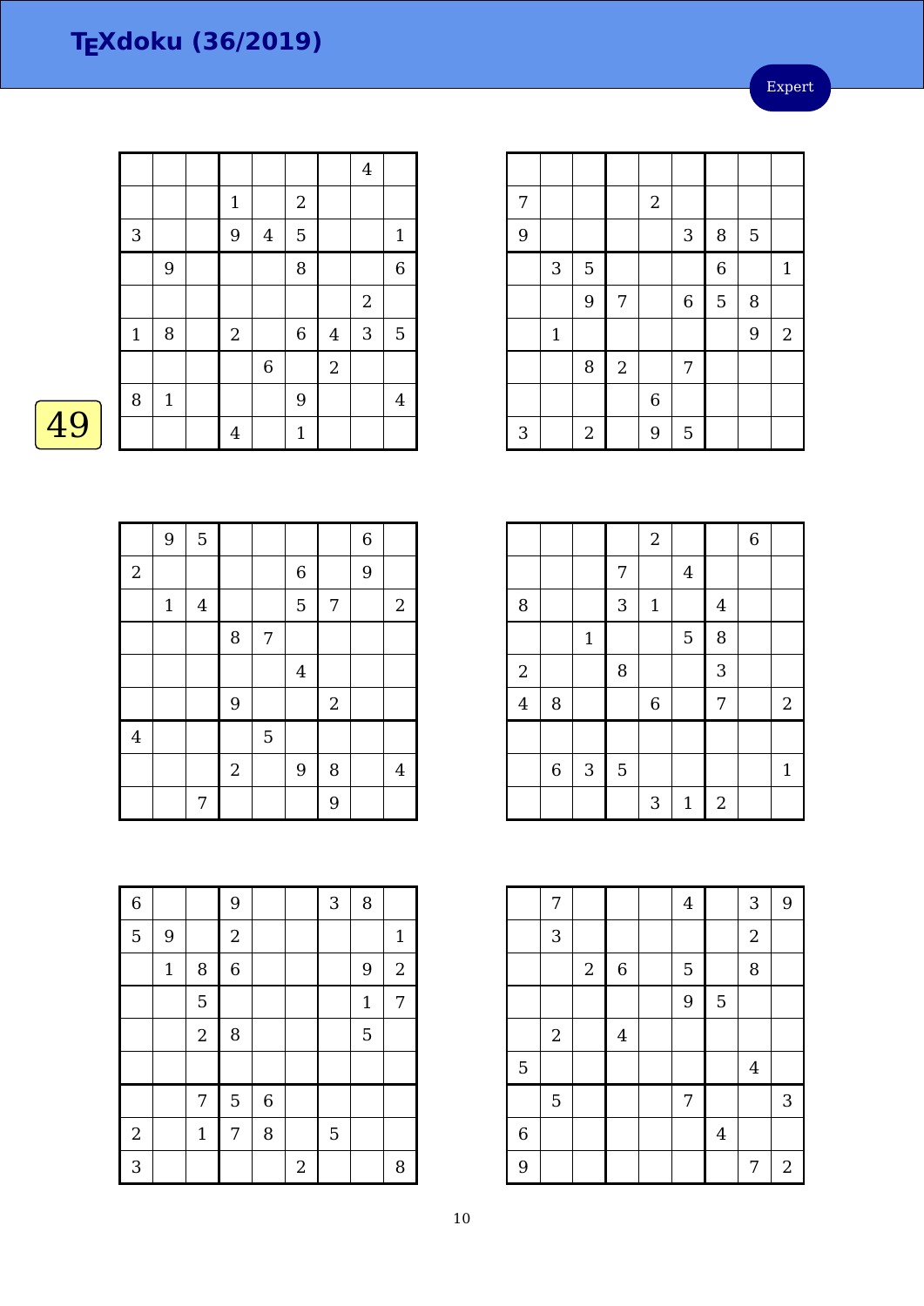Expert

|             |             |                  |                         |                |                  | $\overline{4}$ |                |
|-------------|-------------|------------------|-------------------------|----------------|------------------|----------------|----------------|
|             |             | $1\,$            |                         | $\sqrt{2}$     |                  |                |                |
| 3           |             | 9                | $\overline{\mathbf{4}}$ | 5              |                  |                | $\mathbf{1}$   |
|             | 9           |                  |                         | 8              |                  |                | 6              |
|             |             |                  |                         |                |                  | $\sqrt{2}$     |                |
| $\mathbf 1$ | 8           | $\boldsymbol{2}$ |                         | $\overline{6}$ | $\bf 4$          | 3              | 5              |
|             |             |                  | $\,6$                   |                | $\boldsymbol{2}$ |                |                |
| 8           | $\mathbf 1$ |                  |                         | 9              |                  |                | $\overline{4}$ |
|             |             | $\overline{4}$   |                         | $\mathbf{1}$   |                  |                |                |
|             |             |                  |                         |                |                  |                |                |



|                         | 9     | $\overline{5}$   |            |   |                |                | $\,$ 6 $\,$ |                |
|-------------------------|-------|------------------|------------|---|----------------|----------------|-------------|----------------|
| $\sqrt{2}$              |       |                  |            |   | $\overline{6}$ |                | 9           |                |
|                         | $1\,$ | $\boldsymbol{4}$ |            |   | 5              | 7              |             | $\mathbf{2}$   |
|                         |       |                  | 8          | 7 |                |                |             |                |
|                         |       |                  |            |   | $\bf 4$        |                |             |                |
|                         |       |                  | 9          |   |                | $\overline{2}$ |             |                |
| $\overline{\mathbf{4}}$ |       |                  |            | 5 |                |                |             |                |
|                         |       |                  | $\sqrt{2}$ |   | 9              | 8              |             | $\overline{4}$ |
|                         |       | 7                |            |   |                | 9              |             |                |

| 7 |                           |                  |            | $\boldsymbol{2}$ |             |                |   |              |
|---|---------------------------|------------------|------------|------------------|-------------|----------------|---|--------------|
| 9 |                           |                  |            |                  | 3           | 8              | 5 |              |
|   | $\ensuremath{\mathsf{3}}$ | $\overline{5}$   |            |                  |             | $\overline{6}$ |   | $\mathbf{1}$ |
|   |                           | 9                | 7          |                  | $\,$ 6 $\,$ | 5              | 8 |              |
|   | $\mathbf 1$               |                  |            |                  |             |                | 9 | $\sqrt{2}$   |
|   |                           | 8                | $\sqrt{2}$ |                  | 7           |                |   |              |
|   |                           |                  |            | $\overline{6}$   |             |                |   |              |
| 3 |                           | $\boldsymbol{2}$ |            | 9                | 5           |                |   |              |

|                         |             |              |   | $\sqrt{2}$  |                |                  | $\,$ 6 $\,$ |                  |
|-------------------------|-------------|--------------|---|-------------|----------------|------------------|-------------|------------------|
|                         |             |              | 7 |             | $\overline{4}$ |                  |             |                  |
| 8                       |             |              | 3 | $\mathbf 1$ |                | $\overline{4}$   |             |                  |
|                         |             | $\mathbf{1}$ |   |             | $\overline{5}$ | 8                |             |                  |
| $\overline{a}$          |             |              | 8 |             |                | 3                |             |                  |
| $\overline{\mathbf{4}}$ | $\, 8$      |              |   | $\,$ 6 $\,$ |                | 7                |             | $\boldsymbol{2}$ |
|                         |             |              |   |             |                |                  |             |                  |
|                         | $\,$ 6 $\,$ | $\sqrt{3}$   | 5 |             |                |                  |             | $\mathbf{1}$     |
|                         |             |              |   | 3           | $\mathbf{1}$   | $\boldsymbol{2}$ |             |                  |

|   | 7            |            |             | $\overline{4}$ |                | 3          | 9              |
|---|--------------|------------|-------------|----------------|----------------|------------|----------------|
|   | 3            |            |             |                |                | $\sqrt{2}$ |                |
|   |              | $\sqrt{2}$ | $\,$ 6 $\,$ | $\overline{5}$ |                | 8          |                |
|   |              |            |             | 9              | 5              |            |                |
|   | $\mathbf{2}$ |            | $\bf 4$     |                |                |            |                |
| 5 |              |            |             |                |                | $\bf 4$    |                |
|   | $\mathbf 5$  |            |             | 7              |                |            | $\sqrt{3}$     |
| 6 |              |            |             |                | $\overline{4}$ |            |                |
| 9 |              |            |             |                |                | 7          | $\overline{2}$ |

| $\overline{6}$ |       |                | 9              |                |                | 3 | 8            |              |
|----------------|-------|----------------|----------------|----------------|----------------|---|--------------|--------------|
| 5              | 9     |                | $\overline{c}$ |                |                |   |              | $\mathbf{1}$ |
|                | $1\,$ | 8              | $\overline{6}$ |                |                |   | 9            | $\sqrt{2}$   |
|                |       | 5              |                |                |                |   | $\mathbf{1}$ | 7            |
|                |       | $\overline{a}$ | 8              |                |                |   | 5            |              |
|                |       |                |                |                |                |   |              |              |
|                |       | 7              | 5              | $\overline{6}$ |                |   |              |              |
| $\overline{2}$ |       | $\mathbf{1}$   | 7              | 8              |                | 5 |              |              |
| 3              |       |                |                |                | $\overline{2}$ |   |              | 8            |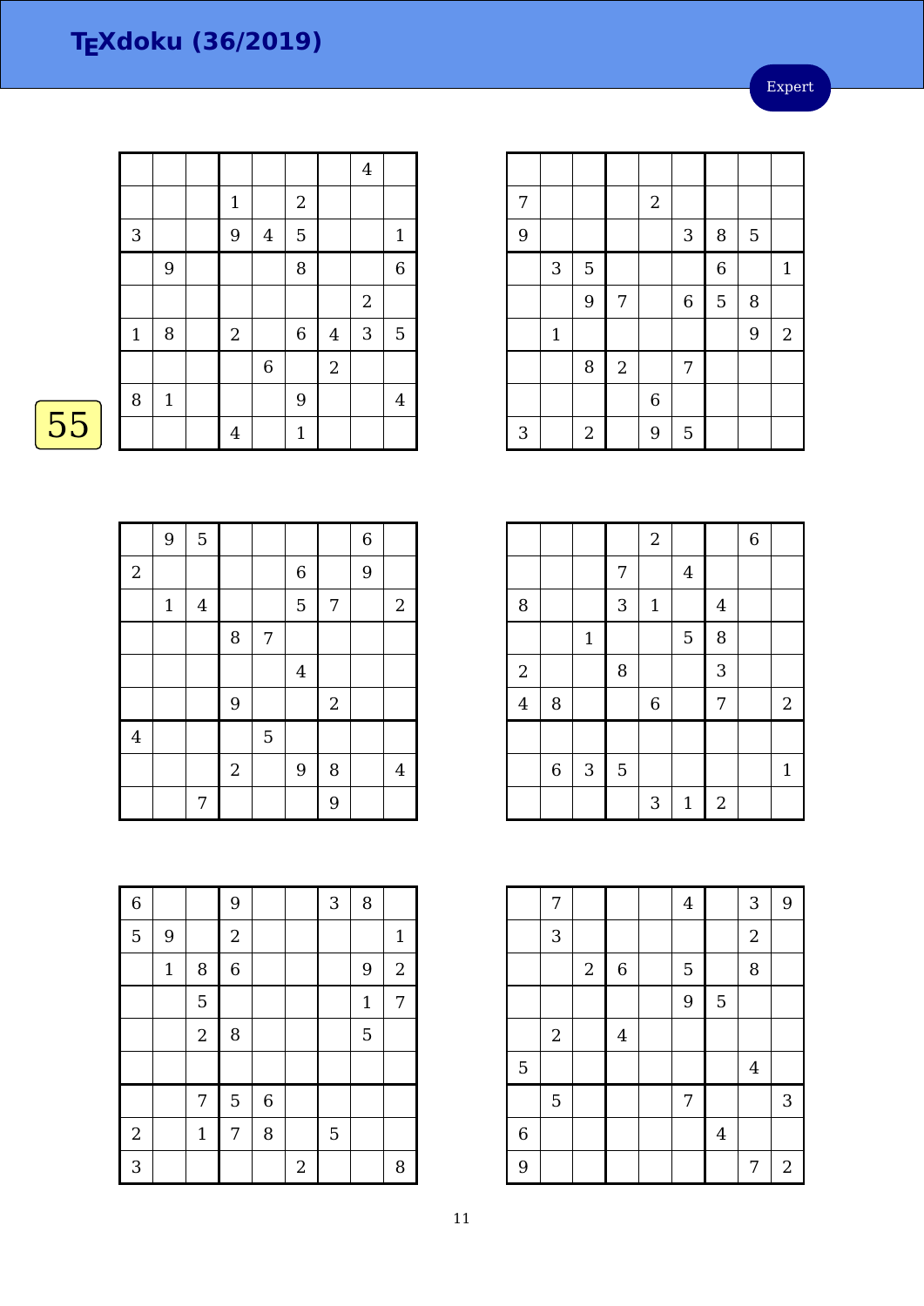Expert

|    |             |              |                  |                |              |                  | $\boldsymbol{4}$ |                |
|----|-------------|--------------|------------------|----------------|--------------|------------------|------------------|----------------|
|    |             |              | $\mathbf{1}$     |                | $\mathbf{2}$ |                  |                  |                |
|    | 3           |              | 9                | $\overline{4}$ | $\mathbf 5$  |                  |                  | $\mathbf{1}$   |
|    |             | 9            |                  |                | 8            |                  |                  | 6              |
|    |             |              |                  |                |              |                  | $\overline{2}$   |                |
|    | $\mathbf 1$ | $\, 8$       | $\boldsymbol{2}$ |                | $\,6$        | $\overline{4}$   | 3                | 5              |
|    |             |              |                  | $\overline{6}$ |              | $\boldsymbol{2}$ |                  |                |
|    | 8           | $\mathbf{1}$ |                  |                | 9            |                  |                  | $\overline{4}$ |
| 55 |             |              | 4                |                | $\mathbf{1}$ |                  |                  |                |
|    |             |              |                  |                |              |                  |                  |                |

| 7 |                           |       |            | $\overline{2}$ |                  |             |   |                  |
|---|---------------------------|-------|------------|----------------|------------------|-------------|---|------------------|
| 9 |                           |       |            |                | $\sqrt{3}$       | 8           | 5 |                  |
|   | $\ensuremath{\mathsf{3}}$ | 5     |            |                |                  | $\,$ 6 $\,$ |   | $\mathbf{1}$     |
|   |                           | 9     | 7          |                | $\boldsymbol{6}$ | 5           | 8 |                  |
|   | $\mathbf{1}$              |       |            |                |                  |             | 9 | $\boldsymbol{2}$ |
|   |                           | 8     | $\sqrt{2}$ |                | 7                |             |   |                  |
|   |                           |       |            | $\,$ 6 $\,$    |                  |             |   |                  |
| 3 |                           | $\,2$ |            | 9              | $\overline{5}$   |             |   |                  |

|--|

|                | 9     | 5       |            |                |                |                | $\,$ 6 $\,$ |                |
|----------------|-------|---------|------------|----------------|----------------|----------------|-------------|----------------|
| $\sqrt{2}$     |       |         |            |                | $\,$ 6 $\,$    |                | 9           |                |
|                | $1\,$ | $\bf 4$ |            |                | 5              | 7              |             | $\overline{2}$ |
|                |       |         | 8          | 7              |                |                |             |                |
|                |       |         |            |                | $\overline{4}$ |                |             |                |
|                |       |         | 9          |                |                | $\overline{2}$ |             |                |
| $\overline{4}$ |       |         |            | $\overline{5}$ |                |                |             |                |
|                |       |         | $\sqrt{2}$ |                | 9              | 8              |             | 4              |
|                |       | 7       |            |                |                | 9              |             |                |

|                |             |              |                | $\overline{a}$ |                |                         | $\overline{6}$ |              |
|----------------|-------------|--------------|----------------|----------------|----------------|-------------------------|----------------|--------------|
|                |             |              | 7              |                | $\overline{4}$ |                         |                |              |
| 8              |             |              | 3              | $1\,$          |                | $\overline{\mathbf{4}}$ |                |              |
|                |             | $\mathbf 1$  |                |                | 5              | 8                       |                |              |
| $\overline{a}$ |             |              | 8              |                |                | 3                       |                |              |
| $\bf 4$        | $\, 8$      |              |                | $\,$ 6 $\,$    |                | 7                       |                | $\sqrt{2}$   |
|                |             |              |                |                |                |                         |                |              |
|                | $\,$ 6 $\,$ | $\mathbf{3}$ | $\overline{5}$ |                |                |                         |                | $\mathbf{1}$ |
|                |             |              |                | 3              | $1\,$          | $\sqrt{2}$              |                |              |

|                | 7              |                |             | $\overline{4}$ |         | 3                | $\boldsymbol{9}$ |
|----------------|----------------|----------------|-------------|----------------|---------|------------------|------------------|
|                | $\sqrt{3}$     |                |             |                |         | $\sqrt{2}$       |                  |
|                |                | $\overline{2}$ | $\,$ 6 $\,$ | 5              |         | $\, 8$           |                  |
|                |                |                |             | 9              | 5       |                  |                  |
|                | $\sqrt{2}$     |                | $\bf 4$     |                |         |                  |                  |
| 5              |                |                |             |                |         | $\boldsymbol{4}$ |                  |
|                | $\overline{5}$ |                |             | 7              |         |                  | 3                |
| $\overline{6}$ |                |                |             |                | $\bf 4$ |                  |                  |
| 9              |                |                |             |                |         | 7                | $\overline{2}$   |

| $\overline{6}$ |             |                  | 9              |       |                | 3 | 8           |                  |
|----------------|-------------|------------------|----------------|-------|----------------|---|-------------|------------------|
| 5              | 9           |                  | $\overline{a}$ |       |                |   |             | $\mathbf{1}$     |
|                | $\mathbf 1$ | 8                | $\overline{6}$ |       |                |   | 9           | $\boldsymbol{2}$ |
|                |             | 5                |                |       |                |   | $\mathbf 1$ | 7                |
|                |             | $\boldsymbol{2}$ | 8              |       |                |   | 5           |                  |
|                |             |                  |                |       |                |   |             |                  |
|                |             | 7                | 5              | $\,6$ |                |   |             |                  |
| $\sqrt{2}$     |             | $\mathbf 1$      | 7              | 8     |                | 5 |             |                  |
| 3              |             |                  |                |       | $\overline{2}$ |   |             | 8                |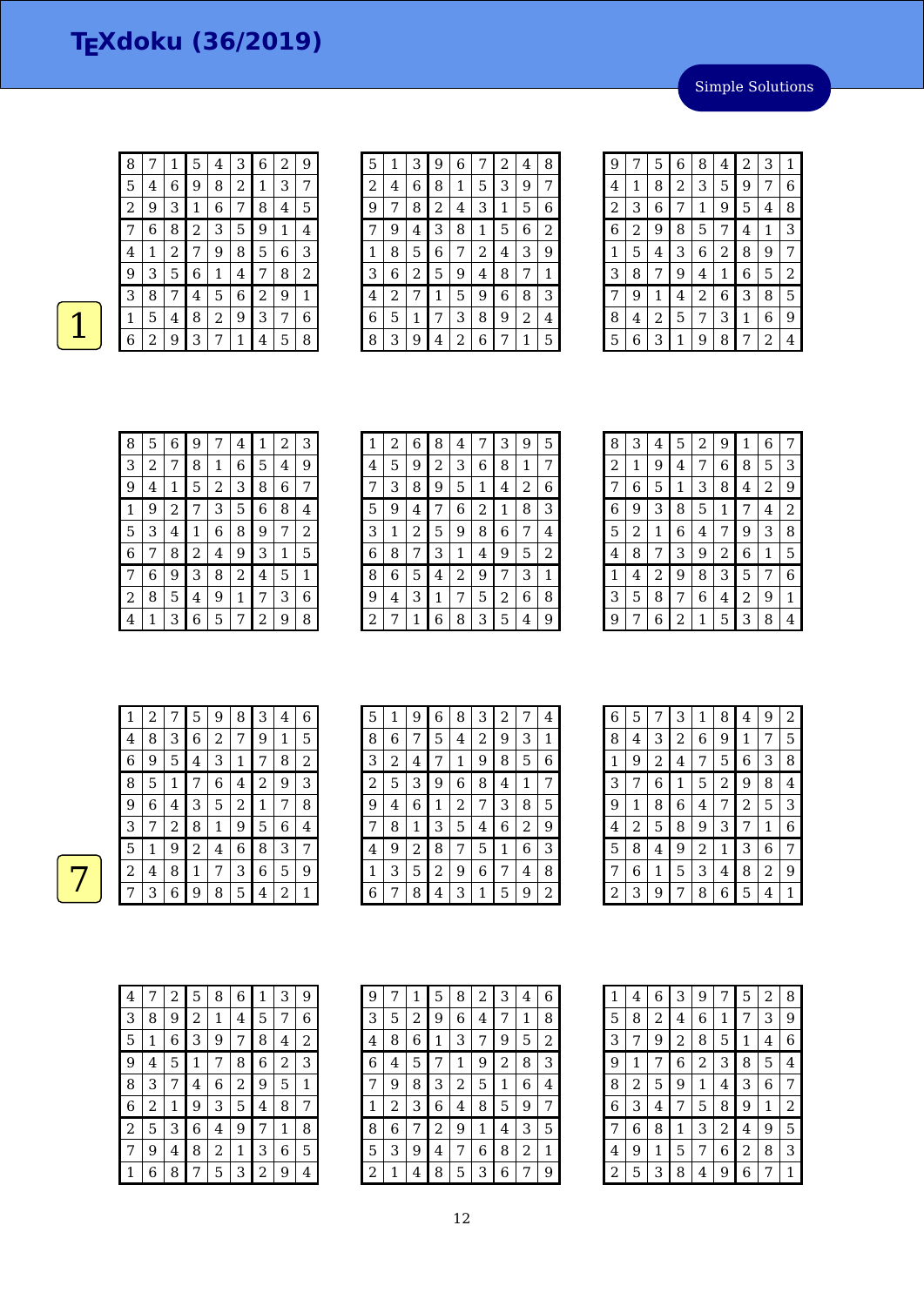Simple Solutions

| 8 | 7 | 1 | 5 | 4 | З | 6 | 2 | 9 |
|---|---|---|---|---|---|---|---|---|
| 5 | 4 | 6 | 9 | 8 | 2 | 1 | З | 7 |
| 2 | 9 | З | 1 | 6 | 7 | 8 | 4 | 5 |
| 7 | 6 | 8 | 2 | 3 | 5 | 9 | 1 | 4 |
| 4 | 1 | 2 | 7 | 9 | 8 | 5 | 6 | З |
| 9 | З | 5 | 6 | 1 | 4 | 7 | 8 | 2 |
| З | 8 | 7 | 4 | 5 | 6 | 2 | 9 | 1 |
| 1 | 5 | 4 | 8 | 2 | 9 | 3 | 7 | 6 |
| 6 | 2 | 9 | 3 | 7 | 1 | 4 | 5 | 8 |

| 5              | 1 | З | 9 | 6 | 7 | 2 | 4 | 8 |
|----------------|---|---|---|---|---|---|---|---|
| $\overline{c}$ | 4 | 6 | 8 | 1 | 5 | З | 9 | 7 |
| 9              | 7 | 8 | 2 | 4 | 3 | 1 | 5 | 6 |
| 7              | 9 | 4 | 3 | 8 | 1 | 5 | 6 | 2 |
| 1              | 8 | 5 | 6 | 7 | 2 | 4 | 3 | 9 |
| 3              | 6 | 2 | 5 | 9 | 4 | 8 | 7 | 1 |
| 4              | 2 | 7 | 1 | 5 | 9 | 6 | 8 | З |
| 6              | 5 | 1 | 7 | 3 | 8 | 9 | 2 | 4 |
| 8              | 3 | 9 | 4 | 2 | 6 |   | 1 | 5 |

| 9              | 7 | 5 | 6 | 8              | 4              | 2 | 3 | 1 |
|----------------|---|---|---|----------------|----------------|---|---|---|
| 4              | 1 | 8 | 2 | 3              | 5              | 9 | 7 | 6 |
| $\overline{c}$ | 3 | 6 | 7 | 1              | 9              | 5 | 4 | 8 |
| 6              | 2 | 9 | 8 | 5              | 7              | 4 | 1 | 3 |
| 1              | 5 | 4 | 3 | 6              | $\overline{c}$ | 8 | 9 | 7 |
| 3              | 8 | 7 | 9 | 4              | 1              | 6 | 5 | 2 |
| 7              | 9 | 1 | 4 | $\overline{c}$ | 6              | 3 | 8 | 5 |
| 8              | 4 | 2 | 5 | 7              | 3              | 1 | 6 | 9 |
| 5              | 6 | З | 1 | 9              | 8              | 7 | 2 | 4 |

| 8 | 5 | 6 | 9 | 7 | 4 | 1 | 2 | 3 |
|---|---|---|---|---|---|---|---|---|
| 3 | 2 | 7 | 8 | 1 | 6 | 5 | 4 | 9 |
| 9 | 4 | 1 | 5 | 2 | 3 | 8 | 6 | 7 |
| 1 | 9 | 2 | 7 | 3 | 5 | 6 | 8 | 4 |
| 5 | З | 4 | 1 | 6 | 8 | 9 | 7 | 2 |
| 6 | 7 | 8 | 2 | 4 | 9 | 3 | 1 | 5 |
| 7 | 6 | 9 | 3 | 8 | 2 | 4 | 5 | 1 |
| 2 | 8 | 5 | 4 | 9 | 1 | 7 | 3 | 6 |
| 4 |   | 3 | 6 | 5 | 7 | 2 | 9 | 8 |

| 1 | 2 | 6 | 8 | 4 | 7 | 3 | 9 | 5 |
|---|---|---|---|---|---|---|---|---|
| 4 | 5 | 9 | 2 | 3 | 6 | 8 | 1 | 7 |
|   | 3 | 8 | 9 | 5 | 1 | 4 | 2 | 6 |
| 5 | 9 | 4 | 7 | 6 | 2 | 1 | 8 | 3 |
| 3 | 1 | 2 | 5 | 9 | 8 | 6 | 7 | 4 |
| 6 | 8 | 7 | 3 | 1 | 4 | 9 | 5 | 2 |
| 8 | 6 | 5 | 4 | 2 | 9 | 7 | 3 | 1 |
| 9 | 4 | З | 1 | 7 | 5 | 2 | 6 | 8 |
| 2 | 7 | 1 | 6 | 8 | 3 | 5 | 4 | 9 |

| 8 | 3 | 4 | 5 | 2 | 9 | 1                       | 6 | 7 |
|---|---|---|---|---|---|-------------------------|---|---|
| 2 | 1 | 9 | 4 | 7 | 6 | 8                       | 5 | 3 |
| 7 | 6 | 5 | 1 | 3 | 8 | $\overline{\mathbf{4}}$ | 2 | 9 |
| 6 | 9 | 3 | 8 | 5 | 1 | 7                       | 4 | 2 |
| 5 | 2 | 1 | 6 | 4 | 7 | 9                       | 3 | 8 |
| 4 | 8 | 7 | 3 | 9 | 2 | 6                       | 1 | 5 |
| 1 | 4 | 2 | 9 | 8 | 3 | 5                       | 7 | 6 |
| 3 | 5 | 8 | 7 | 6 | 4 | 2                       | 9 | 1 |
| 9 | 7 | 6 | 2 | 1 | 5 | 3                       | 8 | 4 |

| 1 | $\overline{2}$ |              | 5 | 9 | 8 | 3 | 4 | 6 |
|---|----------------|--------------|---|---|---|---|---|---|
| 4 | 8              | 3            | 6 | 2 | 7 | 9 | 1 | 5 |
| 6 | 9              | 5            | 4 | 3 | 1 | 7 | 8 | 2 |
| 8 | 5              | $\mathbf{1}$ | 7 | 6 | 4 | 2 | 9 | 3 |
| 9 | 6              | 4            | З | 5 | 2 | 1 | 7 | 8 |
| 3 | 7              | 2            | 8 | 1 | 9 | 5 | 6 | 4 |
| 5 | 1              | 9            | 2 | 4 | 6 | 8 | 3 | 7 |
| 2 | 4              | 8            | 1 | 7 | 3 | 6 | 5 | 9 |
|   | 3              | 6            | 9 | 8 | 5 | 4 | 2 | 1 |

| 5 | 1 | 9 | 6 | 8              | 3 | $\overline{c}$ | 7 | 4 |
|---|---|---|---|----------------|---|----------------|---|---|
| 8 | 6 | 7 | 5 | 4              | 2 | 9              | 3 | 1 |
| 3 | 2 | 4 | 7 | 1              | 9 | 8              | 5 | 6 |
| 2 | 5 | 3 | 9 | 6              | 8 | 4              | 1 | 7 |
| 9 | 4 | 6 | 1 | $\overline{2}$ | 7 | 3              | 8 | 5 |
| 7 | 8 | 1 | 3 | 5              | 4 | 6              | 2 | 9 |
| 4 | 9 | 2 | 8 | 7              | 5 | 1              | 6 | 3 |
| 1 | З | 5 | 2 | 9              | 6 | 7              | 4 | 8 |
| 6 |   | 8 | 4 | 3              | 1 | 5              | 9 | 2 |

| 6              | 5 | 7              | 3              | 1              | 8              | 4              | 9              | 2 |
|----------------|---|----------------|----------------|----------------|----------------|----------------|----------------|---|
| 8              | 4 | 3              | $\overline{c}$ | 6              | 9              | 1              | 7              | 5 |
| 1              | 9 | $\overline{c}$ | 4              | 7              | 5              | 6              | 3              | 8 |
| 3              | 7 | 6              | 1              | 5              | $\overline{2}$ | 9              | 8              | 4 |
| 9              | 1 | 8              | 6              | 4              | 7              | $\overline{c}$ | 5              | 3 |
| 4              | 2 | 5              | 8              | 9              | 3              | 7              | 1              | 6 |
| 5              | 8 | 4              | 9              | $\overline{c}$ | 1              | 3              | 6              | 7 |
| 7              | 6 | 1              | 5              | 3              | 4              | 8              | $\overline{2}$ | 9 |
| $\overline{c}$ | 3 | 9              | 7              | 8              | 6              | 5              | 4              | 1 |

| 4 |   | 2 | 5 | 8 | 6 | 1 | 3 | 9 |
|---|---|---|---|---|---|---|---|---|
| 3 | 8 | 9 | 2 | 1 | 4 | 5 | 7 | 6 |
| 5 | 1 | 6 | 3 | 9 | 7 | 8 | 4 | 2 |
| 9 | 4 | 5 | 1 | 7 | 8 | 6 | 2 | 3 |
| 8 | 3 | 7 | 4 | 6 | 2 | 9 | 5 | 1 |
| 6 | 2 | 1 | 9 | 3 | 5 | 4 | 8 | 7 |
| 2 | 5 | 3 | 6 | 4 | 9 | 7 | 1 | 8 |
| 7 | 9 | 4 | 8 | 2 | 1 | 3 | 6 | 5 |
|   | 6 | 8 | 7 | 5 | 3 | 2 | 9 | 4 |

| 9 |   | 1 | 5 | 8 | 2 | 3              | 4 | 6 |
|---|---|---|---|---|---|----------------|---|---|
| 3 | 5 | 2 | 9 | 6 | 4 | 7              | 1 | 8 |
| 4 | 8 | 6 | 1 | З | 7 | 9              | 5 | 2 |
| 6 | 4 | 5 | 7 | 1 | 9 | $\overline{2}$ | 8 | З |
| 7 | 9 | 8 | З | 2 | 5 | 1              | 6 | 4 |
| 1 | 2 | З | 6 | 4 | 8 | 5              | 9 | 7 |
| 8 | 6 | 7 | 2 | 9 | 1 | 4              | 3 | 5 |
| 5 | З | 9 | 4 | 7 | 6 | 8              | 2 | 1 |
| 2 | 1 | 4 | 8 | 5 | 3 | 6              |   | 9 |

|   | 4 | 6 | З           | 9              | 7              | 5 | 2 | 8              |
|---|---|---|-------------|----------------|----------------|---|---|----------------|
| 5 | 8 | 2 | 4           | 6              | 1              | 7 | 3 | 9              |
| 3 | 7 | 9 | 2           | 8              | 5              | 1 | 4 | 6              |
| 9 | 1 | 7 | 6           | $\overline{c}$ | 3              | 8 | 5 | 4              |
| 8 | 2 | 5 | 9           | 1              | 4              | 3 | 6 | 7              |
| 6 | 3 | 4 | 7           | 5              | 8              | 9 | 1 | $\overline{c}$ |
| 7 | 6 | 8 | $\mathbf 1$ | 3              | $\overline{c}$ | 4 | 9 | 5              |
| 4 | 9 | 1 | 5           | 7              | 6              | 2 | 8 | 3              |
| 2 | 5 | 3 | 8           | 4              | 9              | 6 | 7 | 1              |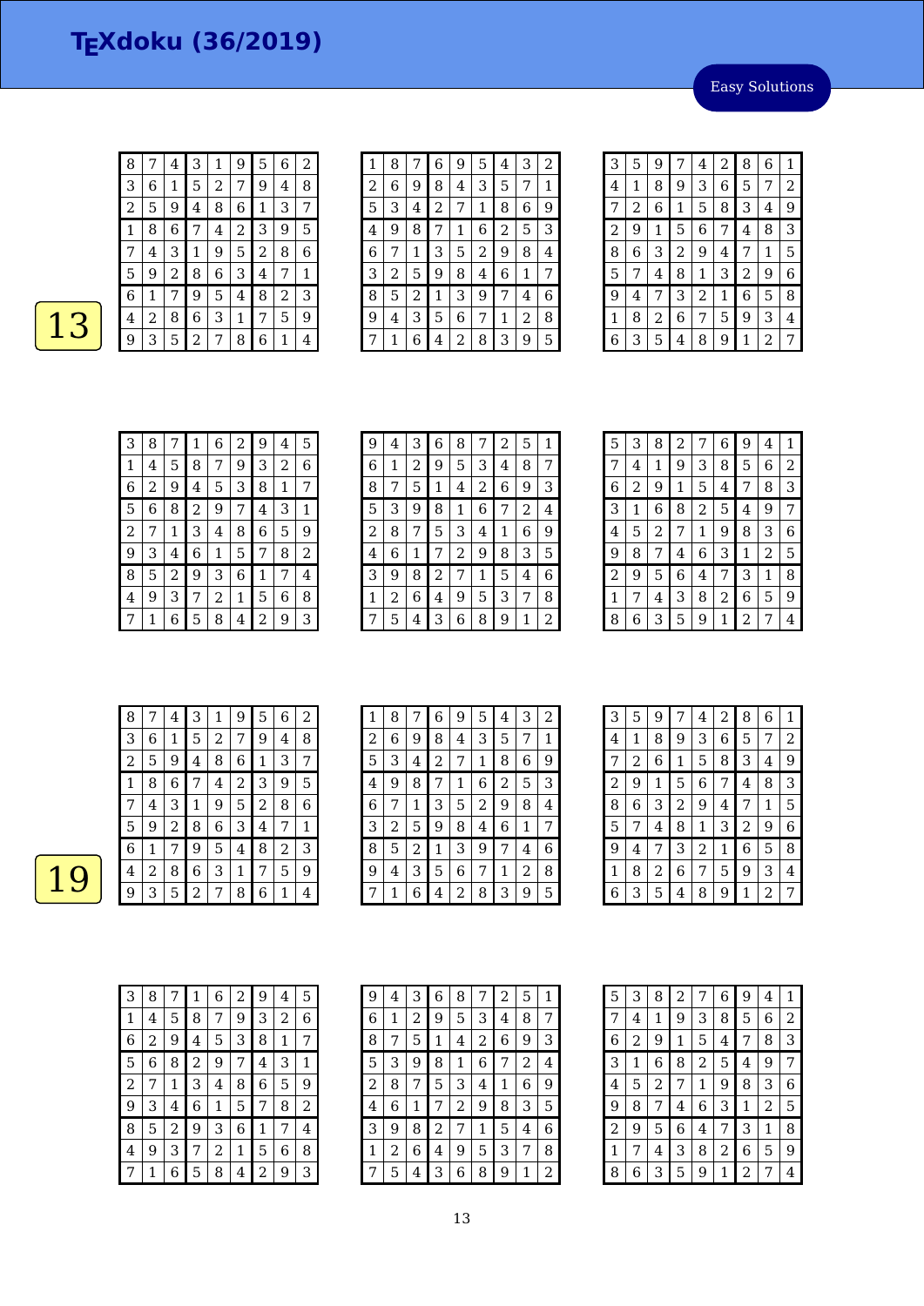Easy Solutions

| 8 | 7 | 4 | 3              | 1 | 9 | 5 | 6 | 2 |
|---|---|---|----------------|---|---|---|---|---|
| 3 | 6 | 1 | 5              | 2 | 7 | 9 | 4 | 8 |
| 2 | 5 | 9 | 4              | 8 | 6 | 1 | 3 | 7 |
| 1 | 8 | 6 | 7              | 4 | 2 | 3 | 9 | 5 |
| 7 | 4 | З | 1              | 9 | 5 | 2 | 8 | 6 |
| 5 | 9 | 2 | 8              | 6 | 3 | 4 | 7 | 1 |
| 6 | 1 | 7 | 9              | 5 | 4 | 8 | 2 | 3 |
| 4 | 2 | 8 | 6              | 3 | 1 | 7 | 5 | 9 |
| 9 | 3 | 5 | $\overline{c}$ | 7 | 8 | 6 | 1 | 4 |

 $\boxed{13}$ 

| 1              | 8 |                | 6              | 9 | 5 | 4 | З | 2 |
|----------------|---|----------------|----------------|---|---|---|---|---|
| $\overline{c}$ | 6 | 9              | 8              | 4 | 3 | 5 | 7 | 1 |
| 5              | 3 | 4              | $\overline{c}$ | 7 | 1 | 8 | 6 | 9 |
| 4              | g | 8              | 7              | 1 | 6 | 2 | 5 | 3 |
| 6              | 7 | 1              | З              | 5 | 2 | 9 | 8 | 4 |
| 3              | 2 | 5              | 9              | 8 | 4 | 6 | 1 | 7 |
| 8              | 5 | $\overline{c}$ | 1              | 3 | 9 | 7 | 4 | 6 |
| 9              | 4 | 3              | 5              | 6 | 7 | 1 | 2 | 8 |
|                | 1 | 6              | 4              | 2 | 8 | З | 9 | 5 |

| 3              | 5 | 9 | 7              | 4              | 2 | 8              | 6 | 1              |
|----------------|---|---|----------------|----------------|---|----------------|---|----------------|
| 4              | 1 | 8 | 9              | 3              | 6 | 5              | 7 | $\overline{2}$ |
| 7              | 2 | 6 | 1              | 5              | 8 | 3              | 4 | 9              |
| $\overline{c}$ | 9 | 1 | 5              | 6              | 7 | 4              | 8 | 3              |
| 8              | 6 | 3 | $\overline{c}$ | 9              | 4 | 7              | 1 | 5              |
| 5              | 7 | 4 | 8              | 1              | 3 | $\overline{c}$ | 9 | 6              |
| 9              | 4 | 7 | 3              | $\overline{c}$ | 1 | 6              | 5 | 8              |
| $\mathbf{1}$   | 8 | 2 | 6              | 7              | 5 | 9              | 3 | 4              |
| 6              | З | 5 | 4              | 8              | 9 | 1              | 2 | 7              |

| 3 | 8 | 7 | 1 | 6 | 2 | 9 | 4 | 5 |
|---|---|---|---|---|---|---|---|---|
| 1 | 4 | 5 | 8 | 7 | 9 | 3 | 2 | 6 |
| 6 | 2 | 9 | 4 | 5 | 3 | 8 | 1 | 7 |
| 5 | 6 | 8 | 2 | 9 | 7 | 4 | 3 | 1 |
| 2 | 7 | 1 | 3 | 4 | 8 | 6 | 5 | 9 |
| 9 | 3 | 4 | 6 | 1 | 5 | 7 | 8 | 2 |
| 8 | 5 | 2 | 9 | 3 | 6 | 1 | 7 | 4 |
| 4 | 9 | 3 | 7 | 2 | 1 | 5 | 6 | 8 |
| 7 |   | 6 | 5 | 8 | 4 | 2 | 9 | 3 |

| 9 | 4 | 3 | 6              | 8 | 7 | $\overline{2}$ | 5 | 1              |
|---|---|---|----------------|---|---|----------------|---|----------------|
| 6 | 1 | 2 | 9              | 5 | 3 | 4              | 8 | 7              |
| 8 | 7 | 5 | 1              | 4 | 2 | 6              | 9 | З              |
| 5 | З | 9 | 8              | 1 | 6 | 7              | 2 | $\overline{4}$ |
| 2 | 8 |   | 5              | 3 | 4 | 1              | 6 | 9              |
| 4 | 6 | 1 | 7              | 2 | 9 | 8              | 3 | 5              |
| 3 | 9 | 8 | 2              | 7 | 1 | 5              | 4 | 6              |
| 1 | 2 | 6 | $\overline{4}$ | 9 | 5 | 3              | 7 | 8              |
|   | 5 | 4 | 3              | 6 | 8 | 9              | 1 | 2              |

| 5 | 3 | 8 | 2 | 7 | 6 | 9 | 4 | 1              |
|---|---|---|---|---|---|---|---|----------------|
| 7 | 4 | 1 | 9 | 3 | 8 | 5 | 6 | $\overline{2}$ |
| 6 | 2 | 9 | 1 | 5 | 4 | 7 | 8 | 3              |
| 3 | 1 | 6 | 8 | 2 | 5 | 4 | 9 | 7              |
| 4 | 5 | 2 | 7 | 1 | 9 | 8 | 3 | 6              |
| 9 | 8 | 7 | 4 | 6 | 3 | 1 | 2 | 5              |
| 2 | 9 | 5 | 6 | 4 | 7 | 3 | 1 | 8              |
| 1 | 7 | 4 | З | 8 | 2 | 6 | 5 | 9              |
| 8 | 6 | З | 5 | 9 | 1 | 2 | 7 | 4              |

| 8 |   | 4 | 3 | 1 | 9 | 5 | 6 | 2 |
|---|---|---|---|---|---|---|---|---|
| 3 | 6 | 1 | 5 | 2 | 7 | 9 | 4 | 8 |
| 2 | 5 | 9 | 4 | 8 | 6 | 1 | 3 | 7 |
| 1 | 8 | 6 | 7 | 4 | 2 | 3 | 9 | 5 |
|   | 4 | 3 | 1 | 9 | 5 | 2 | 8 | 6 |
| 5 | 9 | 2 | 8 | 6 | З | 4 | 7 | 1 |
| 6 | 1 | 7 | 9 | 5 | 4 | 8 | 2 | 3 |
| 4 | 2 | 8 | 6 | З | 1 | 7 | 5 | 9 |
| 9 | З | 5 | 2 | 7 | 8 | 6 | 1 | 4 |

| 1 | 8 | 7 | 6 | 9 | 5            | 4 | 3 | 2 |
|---|---|---|---|---|--------------|---|---|---|
| 2 | 6 | 9 | 8 | 4 | 3            | 5 | 7 | 1 |
| 5 | 3 | 4 | 2 | 7 | $\mathbf{1}$ | 8 | 6 | 9 |
| 4 | 9 | 8 | 7 | 1 | 6            | 2 | 5 | 3 |
| 6 | 7 | 1 | 3 | 5 | 2            | 9 | 8 | 4 |
| 3 | 2 | 5 | 9 | 8 | 4            | 6 | 1 | 7 |
| 8 | 5 | 2 | 1 | 3 | 9            | 7 | 4 | 6 |
| 9 | 4 | 3 | 5 | 6 | 7            | 1 | 2 | 8 |
|   |   | 6 | 4 | 2 | 8            | 3 | 9 | 5 |

| 3              | 5 | 9 | 7              | 4 | 2 | 8              | 6 | 1 |
|----------------|---|---|----------------|---|---|----------------|---|---|
| 4              | 1 | 8 | 9              | 3 | 6 | 5              | 7 | 2 |
| 7              | 2 | 6 | 1              | 5 | 8 | 3              | 4 | 9 |
| $\overline{c}$ | 9 | 1 | 5              | 6 | 7 | 4              | 8 | 3 |
| 8              | 6 | 3 | $\overline{c}$ | 9 | 4 | 7              | 1 | 5 |
| 5              | 7 | 4 | 8              | 1 | 3 | $\overline{c}$ | 9 | 6 |
| 9              | 4 | 7 | 3              | 2 | 1 | 6              | 5 | 8 |
| 1              | 8 | 2 | 6              | 7 | 5 | 9              | 3 | 4 |
| 6              | 3 | 5 | 4              | 8 | 9 | 1              | 2 | 7 |

| З | 8 | 7 | 1 | 6 | 2 | 9 | 4            | 5 |
|---|---|---|---|---|---|---|--------------|---|
| 1 | 4 | 5 | 8 | 7 | 9 | 3 | 2            | 6 |
| 6 | 2 | 9 | 4 | 5 | 3 | 8 | $\mathbf{1}$ | 7 |
| 5 | 6 | 8 | 2 | 9 | 7 | 4 | 3            | 1 |
| 2 | 7 | 1 | 3 | 4 | 8 | 6 | 5            | 9 |
| 9 | 3 | 4 | 6 | 1 | 5 | 7 | 8            | 2 |
| 8 | 5 | 2 | 9 | 3 | 6 | 1 | 7            | 4 |
| 4 | 9 | 3 | 7 | 2 | 1 | 5 | 6            | 8 |
|   | 1 | 6 | 5 | 8 | 4 | 2 | 9            | 3 |

| 9 | 4 | 3 | 6              | 8              |   | 2 | 5 | $\mathbf 1$ |
|---|---|---|----------------|----------------|---|---|---|-------------|
| 6 | 1 | 2 | 9              | 5              | З | 4 | 8 | 7           |
| 8 | 7 | 5 | 1              | 4              | 2 | 6 | 9 | З           |
| 5 | 3 | 9 | 8              | 1              | 6 | 7 | 2 | 4           |
| 2 | 8 | 7 | 5              | 3              | 4 | 1 | 6 | 9           |
| 4 | 6 | 1 | 7              | $\overline{c}$ | 9 | 8 | 3 | 5           |
| 3 | 9 | 8 | $\overline{c}$ | 7              | 1 | 5 | 4 | 6           |
| 1 | 2 | 6 | 4              | 9              | 5 | З | 7 | 8           |
|   | 5 | 4 | З              | 6              | 8 | 9 | 1 | 2           |
|   |   |   |                |                |   |   |   |             |

| 5              | 3 | 8 | 2 | 7 | 6 | 9 | 4              | 1 |
|----------------|---|---|---|---|---|---|----------------|---|
| 7              | 4 | 1 | 9 | З | 8 | 5 | 6              | 2 |
| 6              | 2 | 9 | 1 | 5 | 4 | 7 | 8              | 3 |
| 3              | 1 | 6 | 8 | 2 | 5 | 4 | 9              | 7 |
| 4              | 5 | 2 | 7 | 1 | 9 | 8 | 3              | 6 |
| 9              | 8 | 7 | 4 | 6 | 3 | 1 | $\overline{c}$ | 5 |
| $\overline{2}$ | 9 | 5 | 6 | 4 | 7 | 3 | 1              | 8 |
| 1              | 7 | 4 | 3 | 8 | 2 | 6 | 5              | 9 |
| 8              | 6 | 3 | 5 | 9 | 1 | 2 | 7              | 4 |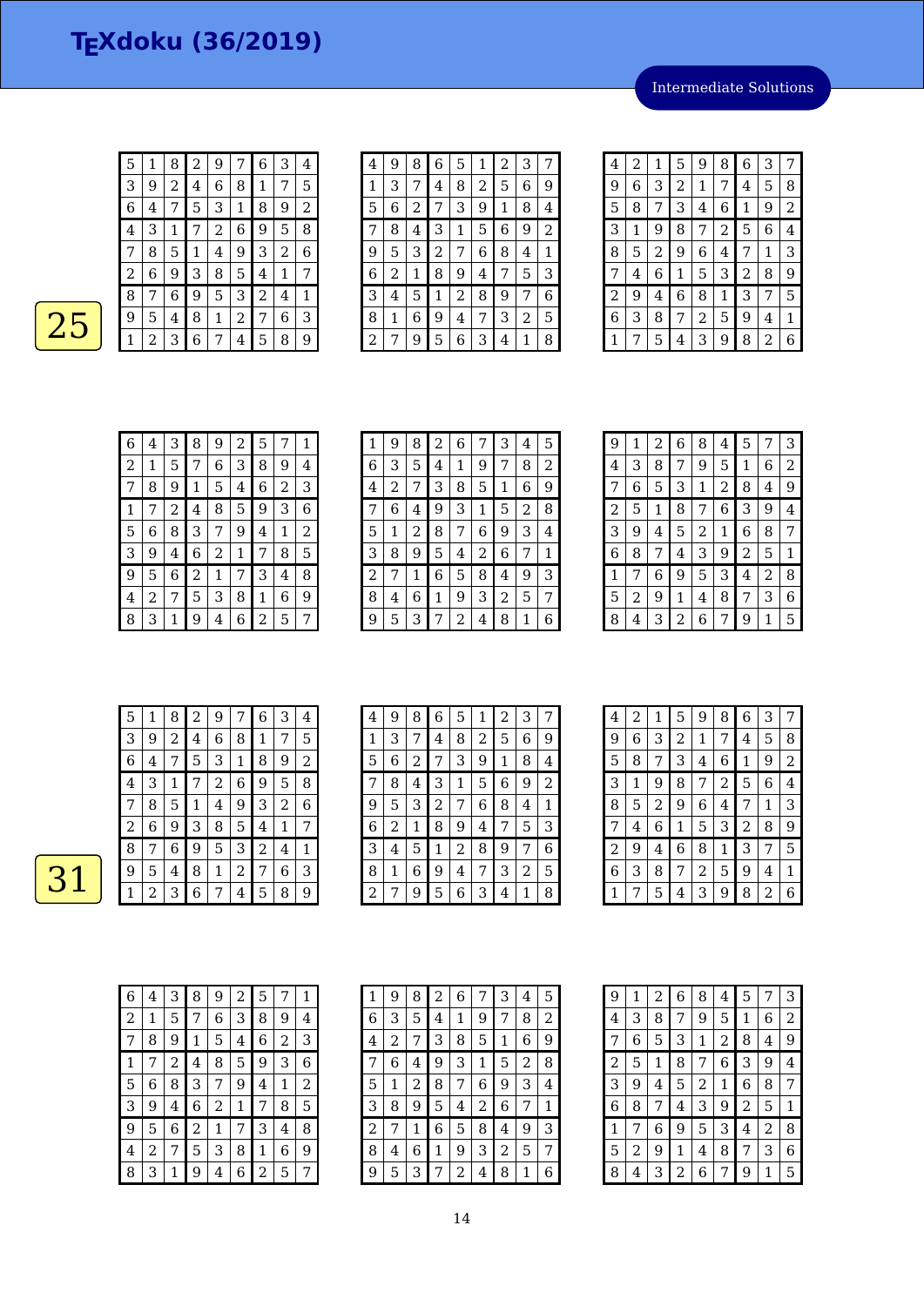Intermediate Solutions

| 5 | 1 | 8 | 2 | 9 |   | 6 | 3 | 4 |
|---|---|---|---|---|---|---|---|---|
| 3 | 9 | 2 | 4 | 6 | 8 | 1 | 7 | 5 |
| 6 | 4 | 7 | 5 | З | 1 | 8 | 9 | 2 |
| 4 | З | 1 | 7 | 2 | 6 | 9 | 5 | 8 |
| 7 | 8 | 5 | 1 | 4 | 9 | 3 | 2 | 6 |
| 2 | 6 | 9 | 3 | 8 | 5 | 4 | 1 | 7 |
| 8 | 7 | 6 | 9 | 5 | З | 2 | 4 | 1 |
| 9 | 5 | 4 | 8 | 1 | 2 | 7 | 6 | З |
| 1 | 2 | З | 6 | 7 | 4 | 5 | 8 | 9 |

| 4 | 9 | 8 | 6              | 5 | 1 | 2 | 3 | 7 |
|---|---|---|----------------|---|---|---|---|---|
| 1 | 3 | 7 | 4              | 8 | 2 | 5 | 6 | 9 |
| 5 | 6 | 2 | 7              | 3 | 9 | 1 | 8 | 4 |
| 7 | 8 | 4 | 3              | 1 | 5 | 6 | 9 | 2 |
| 9 | 5 | 3 | $\overline{c}$ | 7 | 6 | 8 | 4 | 1 |
| 6 | 2 | 1 | 8              | 9 | 4 | 7 | 5 | 3 |
| 3 | 4 | 5 | 1              | 2 | 8 | 9 | 7 | 6 |
| 8 | 1 | 6 | 9              | 4 | 7 | 3 | 2 | 5 |
| 2 | 7 | 9 | 5              | 6 | З | 4 | 1 | 8 |

| 4 | 2 | 1 | 5 | 9 | 8              | 6 | 3 | 7 |
|---|---|---|---|---|----------------|---|---|---|
| 9 | 6 | 3 | 2 | 1 | 7              | 4 | 5 | 8 |
| 5 | 8 | 7 | 3 | 4 | 6              | 1 | 9 | 2 |
| 3 | 1 | 9 | 8 | 7 | $\overline{c}$ | 5 | 6 | 4 |
| 8 | 5 | 2 | 9 | 6 | 4              | 7 | 1 | 3 |
| 7 | 4 | 6 | 1 | 5 | 3              | 2 | 8 | 9 |
| 2 | 9 | 4 | 6 | 8 | 1              | 3 | 7 | 5 |
| 6 | 3 | 8 | 7 | 2 | 5              | 9 | 4 | 1 |
| 1 | 7 | 5 | 4 | 3 | 9              | 8 | 2 | 6 |

| 6 | 4 | 3 | 8 | 9 | 2 | 5 | 7              | 1 |
|---|---|---|---|---|---|---|----------------|---|
| 2 | 1 | 5 | 7 | 6 | 3 | 8 | 9              | 4 |
| 7 | 8 | 9 | 1 | 5 | 4 | 6 | $\overline{c}$ | 3 |
| 1 |   | 2 | 4 | 8 | 5 | 9 | 3              | 6 |
| 5 | 6 | 8 | 3 | 7 | 9 | 4 | 1              | 2 |
| 3 | 9 | 4 | 6 | 2 | 1 | 7 | 8              | 5 |
| 9 | 5 | 6 | 2 | 1 | 7 | 3 | 4              | 8 |
| 4 | 2 |   | 5 | 3 | 8 | 1 | 6              | 9 |
| 8 | 3 |   | 9 | 4 | 6 | 2 | 5              | 7 |

| 1 | 9 | 8 | 2 | 6 | 7 | 3              | 4 | 5 |
|---|---|---|---|---|---|----------------|---|---|
| 6 | 3 | 5 | 4 | 1 | 9 | 7              | 8 | 2 |
| 4 | 2 |   | 3 | 8 | 5 | 1              | 6 | 9 |
|   | 6 | 4 | 9 | 3 | 1 | 5              | 2 | 8 |
| 5 | 1 | 2 | 8 | 7 | 6 | 9              | 3 | 4 |
| З | 8 | 9 | 5 | 4 | 2 | 6              | 7 | 1 |
| 2 | 7 | 1 | 6 | 5 | 8 | 4              | 9 | 3 |
| 8 | 4 | 6 | 1 | 9 | 3 | $\overline{2}$ | 5 | 7 |
| 9 | 5 | 3 |   | 2 | 4 | 8              | 1 | 6 |

| 9 | 1 | 2 | 6 | 8 | 4 | 5 | 7 | 3 |
|---|---|---|---|---|---|---|---|---|
| 4 | 3 | 8 | 7 | 9 | 5 | 1 | 6 | 2 |
| 7 | 6 | 5 | 3 | 1 | 2 | 8 | 4 | 9 |
| 2 | 5 | 1 | 8 | 7 | 6 | 3 | 9 | 4 |
| 3 | 9 | 4 | 5 | 2 | 1 | 6 | 8 | 7 |
| 6 | 8 | 7 | 4 | 3 | 9 | 2 | 5 | 1 |
| 1 | 7 | 6 | 9 | 5 | 3 | 4 | 2 | 8 |
| 5 | 2 | 9 | 1 | 4 | 8 | 7 | 3 | 6 |
| 8 | 4 | З | 2 | 6 | 7 | 9 | 1 | 5 |

| 5              | 1 | 8              | 2 | 9              | 7 | 6 | 3              | 4 |
|----------------|---|----------------|---|----------------|---|---|----------------|---|
| 3              | 9 | $\overline{2}$ | 4 | 6              | 8 | 1 | 7              | 5 |
| 6              | 4 | 7              | 5 | 3              | 1 | 8 | 9              | 2 |
| $\overline{4}$ | 3 | 1              | 7 | $\overline{a}$ | 6 | 9 | 5              | 8 |
| 7              | 8 | 5              | 1 | 4              | 9 | 3 | $\overline{2}$ | 6 |
| 2              | 6 | 9              | 3 | 8              | 5 | 4 | 1              | 7 |
| 8              | 7 | 6              | 9 | 5              | 3 | 2 | 4              | 1 |
| 9              | 5 | 4              | 8 | $\mathbf 1$    | 2 | 7 | 6              | 3 |
| 1              | 2 | 3              | 6 | 7              | 4 | 5 | 8              | 9 |

| 4 | 9 | 8 | 6              | 5              | 1 | 2 | 3 | 7 |
|---|---|---|----------------|----------------|---|---|---|---|
| 1 | 3 | 7 | 4              | 8              | 2 | 5 | 6 | 9 |
| 5 | 6 | 2 |                | 3              | 9 | 1 | 8 | 4 |
| 7 | 8 | 4 | 3              | 1              | 5 | 6 | 9 | 2 |
| 9 | 5 | 3 | $\overline{c}$ | 7              | 6 | 8 | 4 | 1 |
| 6 | 2 | 1 | 8              | 9              | 4 | 7 | 5 | 3 |
| 3 | 4 | 5 | 1              | $\overline{2}$ | 8 | 9 | 7 | 6 |
| 8 | 1 | 6 | 9              | 4              | 7 | 3 | 2 | 5 |
| 2 |   | 9 | 5              | 6              | 3 | 4 | 1 | 8 |

| 6 | 4 | 3              | 8              | 9              | 2 | 5              | 7 | 1 |
|---|---|----------------|----------------|----------------|---|----------------|---|---|
| 2 | 1 | 5              | 7              | 6              | 3 | 8              | 9 | 4 |
| 7 | 8 | 9              | 1              | 5              | 4 | 6              | 2 | 3 |
| 1 | 7 | $\overline{c}$ | 4              | 8              | 5 | 9              | 3 | 6 |
| 5 | 6 | 8              | 3              | 7              | 9 | 4              | 1 | 2 |
| 3 | 9 | 4              | 6              | $\overline{c}$ | 1 | 7              | 8 | 5 |
| 9 | 5 | 6              | $\overline{c}$ | 1              | 7 | 3              | 4 | 8 |
| 4 | 2 | 7              | 5              | 3              | 8 | 1              | 6 | 9 |
| 8 | 3 | 1              | 9              | 4              | 6 | $\overline{c}$ | 5 | 7 |

| 1              | 9 | 8 | 2 | 6 | 7 | 3 | 4 | 5 |
|----------------|---|---|---|---|---|---|---|---|
| 6              | 3 | 5 | 4 | 1 | 9 | 7 | 8 | 2 |
| 4              | 2 | 7 | З | 8 | 5 | 1 | 6 | 9 |
| 7              | 6 | 4 | 9 | 3 | 1 | 5 | 2 | 8 |
| 5              | 1 | 2 | 8 | 7 | 6 | 9 | 3 | 4 |
| 3              | 8 | 9 | 5 | 4 | 2 | 6 |   | 1 |
| $\overline{c}$ | 7 | 1 | 6 | 5 | 8 | 4 | 9 | 3 |
| 8              | 4 | 6 | 1 | 9 | 3 | 2 | 5 | 7 |
| 9              | 5 | З | 7 | 2 | 4 | 8 | 1 | 6 |

| $\overline{\mathbf{4}}$ | 2 | 1 | 5              | 9 | 8 | 6              | 3 | 7 |
|-------------------------|---|---|----------------|---|---|----------------|---|---|
| 9                       | 6 | 3 | $\overline{c}$ | 1 | 7 | 4              | 5 | 8 |
| 5                       | 8 | 7 | 3              | 4 | 6 | 1              | 9 | 2 |
| 3                       | 1 | 9 | 8              | 7 | 2 | 5              | 6 | 4 |
| 8                       | 5 | 2 | 9              | 6 | 4 | 7              | 1 | З |
| 7                       | 4 | 6 | 1              | 5 | 3 | $\overline{c}$ | 8 | 9 |
| $\overline{c}$          | 9 | 4 | 6              | 8 | 1 | З              | 7 | 5 |
| 6                       | З | 8 | 7              | 2 | 5 | 9              | 4 | 1 |
|                         |   | 5 | 4              | З | 9 | 8              | 2 | 6 |

| 9              | 1 | 2           | 6 | 8              | 4 | 5              | 7              | 3 |
|----------------|---|-------------|---|----------------|---|----------------|----------------|---|
| 4              | 3 | 8           | 7 | 9              | 5 | 1              | 6              | 2 |
| 7              | 6 | 5           | 3 | 1              | 2 | 8              | 4              | 9 |
| $\overline{c}$ | 5 | $\mathbf 1$ | 8 | 7              | 6 | 3              | 9              | 4 |
| 3              | 9 | 4           | 5 | $\overline{c}$ | 1 | 6              | 8              | 7 |
| 6              | 8 | 7           | 4 | 3              | 9 | $\overline{c}$ | 5              | 1 |
| 1              | 7 | 6           | 9 | 5              | 3 | 4              | $\overline{2}$ | 8 |
| 5              | 2 | 9           | 1 | 4              | 8 | 7              | 3              | 6 |
| 8              | 4 | 3           | 2 | 6              | 7 | 9              | 1              | 5 |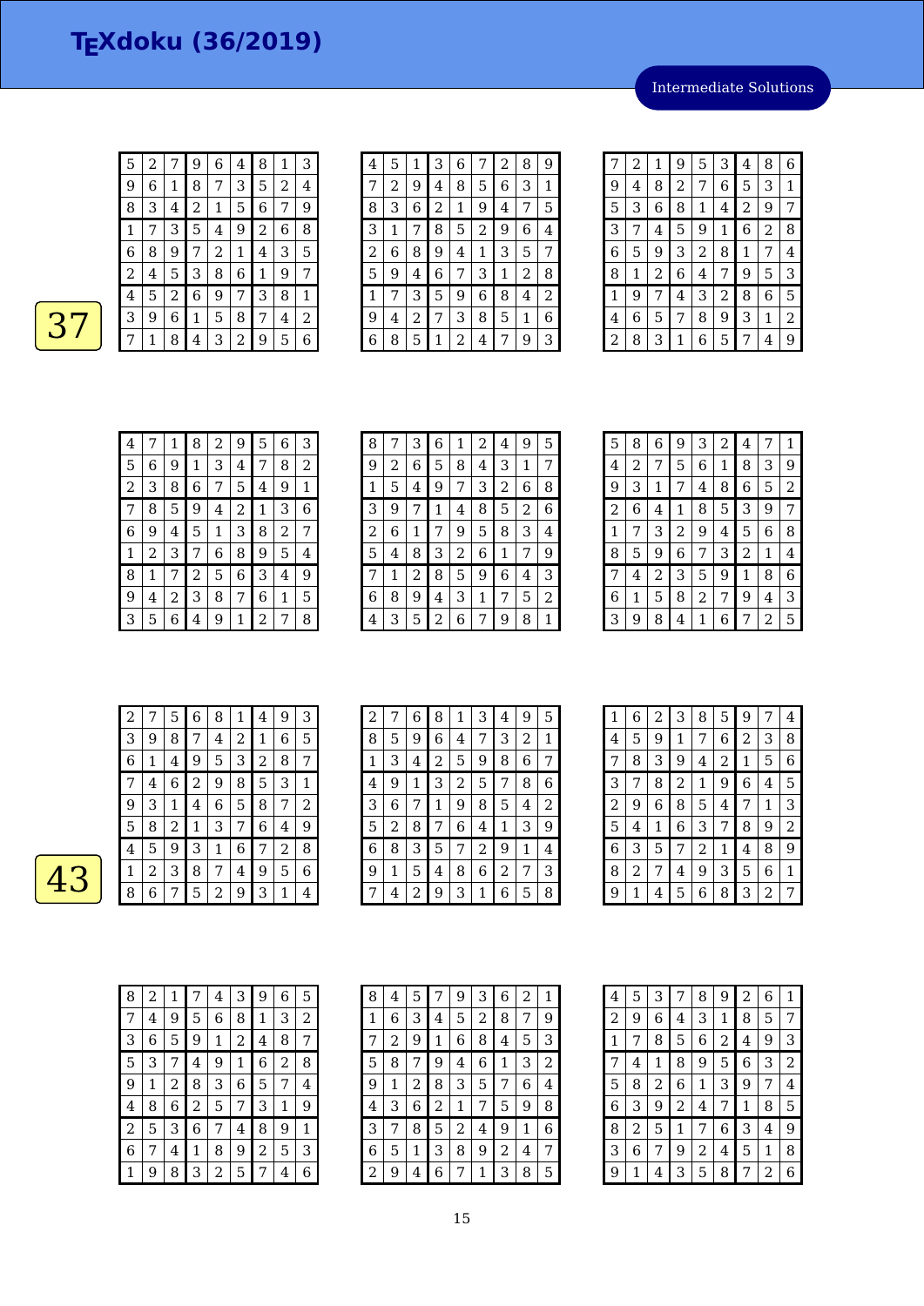2 7 9 6 4 8 1 3

Intermediate Solutions

| 9 | 6 | 1 | 8 | 7 | 3 | 5 | 2 | 4 |
|---|---|---|---|---|---|---|---|---|
| 8 | 3 | 4 | 2 | 1 | 5 | 6 | 7 | 9 |
|   |   | 3 | 5 | 4 | 9 | 2 | 6 | 8 |
| 6 | 8 | 9 | 7 | 2 | 1 | 4 | 3 | 5 |
| 2 | 4 | 5 | З | 8 | 6 | 1 | 9 | 7 |
| 4 | 5 | 2 | 6 | 9 | 7 | 3 | 8 |   |
| 3 | 9 | 6 | 1 | 5 | 8 | 7 | 4 | 2 |
|   |   | 8 | 4 | 3 | 2 | 9 | 5 | 6 |

| 4 | 5 | 1 | З | 6 |   | 2                | 8 | 9 |
|---|---|---|---|---|---|------------------|---|---|
| 7 | 2 | 9 | 4 | 8 | 5 | $\boldsymbol{6}$ | 3 | 1 |
| 8 | 3 | 6 | 2 | 1 | 9 | 4                | 7 | 5 |
| 3 | 1 | 7 | 8 | 5 | 2 | 9                | 6 | 4 |
| 2 | 6 | 8 | 9 | 4 | 1 | 3                | 5 | 7 |
| 5 | 9 | 4 | 6 | 7 | 3 | 1                | 2 | 8 |
| 1 | 7 | 3 | 5 | 9 | 6 | 8                | 4 | 2 |
| 9 | 4 | 2 | 7 | 3 | 8 | 5                | 1 | 6 |
| 6 | 8 | 5 | 1 | 2 | 4 | 7                | 9 | 3 |

| 7 | 2 | 1 | 9 | 5              | 3 | 4              | 8 | 6              |
|---|---|---|---|----------------|---|----------------|---|----------------|
| 9 | 4 | 8 | 2 | 7              | 6 | 5              | 3 | 1              |
| 5 | 3 | 6 | 8 | 1              | 4 | $\overline{c}$ | 9 | 7              |
| 3 | 7 | 4 | 5 | 9              | 1 | 6              | 2 | 8              |
| 6 | 5 | 9 | 3 | $\overline{c}$ | 8 | 1              | 7 | $\overline{4}$ |
| 8 | 1 | 2 | 6 | 4              | 7 | 9              | 5 | 3              |
| 1 | 9 | 7 | 4 | 3              | 2 | 8              | 6 | 5              |
| 4 | 6 | 5 | 7 | 8              | 9 | 3              | 1 | 2              |
| 2 | 8 | 3 | 1 | 6              | 5 |                | 4 | g              |

| 4 |   | 1 | 8 | 2 | 9 | 5 | 6 | 3 |
|---|---|---|---|---|---|---|---|---|
| 5 | 6 | 9 | 1 | 3 | 4 | 7 | 8 | 2 |
| 2 | З | 8 | 6 | 7 | 5 | 4 | 9 | 1 |
| 7 | 8 | 5 | 9 | 4 | 2 | 1 | 3 | 6 |
| 6 | 9 | 4 | 5 | 1 | 3 | 8 | 2 | 7 |
| 1 | 2 | 3 | 7 | 6 | 8 | 9 | 5 | 4 |
| 8 | 1 | 7 | 2 | 5 | 6 | 3 | 4 | 9 |
| 9 | 4 | 2 | 3 | 8 | 7 | 6 | 1 | 5 |
| 3 | 5 | 6 | 4 | 9 | 1 | 2 | 7 | 8 |

| 8           |   | 3 | 6 | 1 | 2 | 4 | 9 | 5 |
|-------------|---|---|---|---|---|---|---|---|
| 9           | 2 | 6 | 5 | 8 | 4 | 3 | 1 | 7 |
| $\mathbf 1$ | 5 | 4 | 9 | 7 | 3 | 2 | 6 | 8 |
| З           | 9 | 7 | 1 | 4 | 8 | 5 | 2 | 6 |
| 2           | 6 | 1 | 7 | 9 | 5 | 8 | 3 | 4 |
| 5           | 4 | 8 | 3 | 2 | 6 | 1 | 7 | 9 |
| 7           | 1 | 2 | 8 | 5 | 9 | 6 | 4 | З |
| 6           | 8 | 9 | 4 | 3 | 1 | 7 | 5 | 2 |
| 4           | 3 | 5 | 2 | 6 | 7 | 9 | 8 | 1 |

| 5 | 8 | 6 | 9 | 3 | 2 | 4 | 7 | 1 |
|---|---|---|---|---|---|---|---|---|
| 4 | 2 | 7 | 5 | 6 | 1 | 8 | 3 | 9 |
| 9 | 3 | 1 | 7 | 4 | 8 | 6 | 5 | 2 |
| 2 | 6 | 4 | 1 | 8 | 5 | 3 | 9 | 7 |
| 1 | 7 | З | 2 | 9 | 4 | 5 | 6 | 8 |
| 8 | 5 | 9 | 6 | 7 | 3 | 2 | 1 | 4 |
| 7 | 4 | 2 | 3 | 5 | 9 | 1 | 8 | 6 |
| 6 | 1 | 5 | 8 | 2 | 7 | 9 | 4 | 3 |
| З | 9 | 8 | 4 | 1 | 6 |   | 2 | 5 |

| 2 |   | 5 | 6 | 8 | 1 | 4 | 9              | 3 |
|---|---|---|---|---|---|---|----------------|---|
| З | 9 | 8 | 7 | 4 | 2 | 1 | 6              | 5 |
| 6 | 1 | 4 | 9 | 5 | З | 2 | 8              | 7 |
|   | 4 | 6 | 2 | 9 | 8 | 5 | 3              | 1 |
| 9 | 3 | 1 | 4 | 6 | 5 | 8 | 7              | 2 |
| 5 | 8 | 2 | 1 | З | 7 | 6 | 4              | 9 |
| 4 | 5 | 9 | З | 1 | 6 | 7 | $\overline{c}$ | 8 |
| 1 | 2 | 3 | 8 | 7 | 4 | 9 | 5              | 6 |
| 8 | 6 | 7 | 5 | 2 | 9 | 3 | 1              | 4 |

| 2 |   | 6 | 8              | 1              | 3 | 4 | 9 | 5 |
|---|---|---|----------------|----------------|---|---|---|---|
| 8 | 5 | 9 | 6              | 4              | 7 | 3 | 2 | 1 |
| 1 | 3 | 4 | $\overline{c}$ | 5              | 9 | 8 | 6 | 7 |
| 4 | 9 | 1 | 3              | $\overline{2}$ | 5 | 7 | 8 | 6 |
| 3 | 6 | 7 | $\mathbf 1$    | 9              | 8 | 5 | 4 | 2 |
| 5 | 2 | 8 | 7              | 6              | 4 | 1 | 3 | 9 |
| 6 | 8 | 3 | 5              | 7              | 2 | 9 | 1 | 4 |
| 9 | 1 | 5 | 4              | 8              | 6 | 2 |   | 3 |
|   | 4 | 2 | 9              | 3              | 1 | 6 | 5 | 8 |

| 1              | 6              | 2 | 3              | 8              | 5              | 9 | 7            | 4 |
|----------------|----------------|---|----------------|----------------|----------------|---|--------------|---|
| 4              | 5              | 9 | 1              | 7              | 6              | 2 | 3            | 8 |
| 7              | 8              | 3 | 9              | 4              | $\overline{c}$ | 1 | 5            | 6 |
| 3              | 7              | 8 | $\overline{c}$ | 1              | 9              | 6 | 4            | 5 |
| $\overline{c}$ | 9              | 6 | 8              | 5              | 4              | 7 | $\mathbf{1}$ | 3 |
| 5              | 4              | 1 | 6              | 3              | 7              | 8 | 9            | 2 |
| 6              | 3              | 5 | 7              | $\overline{2}$ | 1              | 4 | 8            | 9 |
| 8              | $\overline{c}$ | 7 | 4              | 9              | 3              | 5 | 6            | 1 |
| 9              | 1              | 4 | 5              | 6              | 8              | 3 | 2            | 7 |

| 8              | 2 | 1 | 7              | 4 | З | 9 | 6 | 5 |
|----------------|---|---|----------------|---|---|---|---|---|
| 7              | 4 | 9 | 5              | 6 | 8 | 1 | 3 | 2 |
| 3              | 6 | 5 | 9              | 1 | 2 | 4 | 8 | 7 |
| 5              | 3 | 7 | 4              | 9 | 1 | 6 | 2 | 8 |
| 9              | 1 | 2 | 8              | 3 | 6 | 5 | 7 | 4 |
| 4              | 8 | 6 | $\overline{c}$ | 5 | 7 | 3 | 1 | 9 |
| $\overline{c}$ | 5 | 3 | 6              | 7 | 4 | 8 | 9 | 1 |
| 6              | 7 | 4 | 1              | 8 | 9 | 2 | 5 | З |
| 1              | 9 | 8 | 3              | 2 | 5 |   | 4 | 6 |

| 8 | 4 | 5 | 7              | 9 | 3 | 6 | 2 | $\mathbf 1$ |
|---|---|---|----------------|---|---|---|---|-------------|
| 1 | 6 | 3 | 4              | 5 | 2 | 8 | 7 | 9           |
| 7 | 2 | 9 | $\mathbf 1$    | 6 | 8 | 4 | 5 | 3           |
| 5 | 8 | 7 | 9              | 4 | 6 | 1 | 3 | 2           |
| 9 | 1 | 2 | 8              | 3 | 5 | 7 | 6 | 4           |
| 4 | 3 | 6 | $\overline{c}$ | 1 | 7 | 5 | 9 | 8           |
| 3 | 7 | 8 | 5              | 2 | 4 | 9 | 1 | 6           |
| 6 | 5 | 1 | 3              | 8 | 9 | 2 | 4 | 7           |
| 2 | 9 | 4 | 6              | 7 | 1 | 3 | 8 | 5           |

| 4              | 5 | 3 | 7              | 8              | 9              | 2 | 6 | 1 |
|----------------|---|---|----------------|----------------|----------------|---|---|---|
| $\overline{c}$ | 9 | 6 | 4              | 3              | 1              | 8 | 5 | 7 |
| 1              | 7 | 8 | 5              | 6              | $\overline{c}$ | 4 | 9 | 3 |
| 7              | 4 | 1 | 8              | 9              | 5              | 6 | 3 | 2 |
| 5              | 8 | 2 | 6              | 1              | 3              | 9 | 7 | 4 |
| 6              | 3 | 9 | $\overline{c}$ | 4              | 7              | 1 | 8 | 5 |
| 8              | 2 | 5 | 1              | 7              | 6              | 3 | 4 | 9 |
| 3              | 6 | 7 | 9              | $\overline{c}$ | 4              | 5 | 1 | 8 |
| 9              | 1 | 4 | 3              | 5              | 8              | 7 | 2 | 6 |